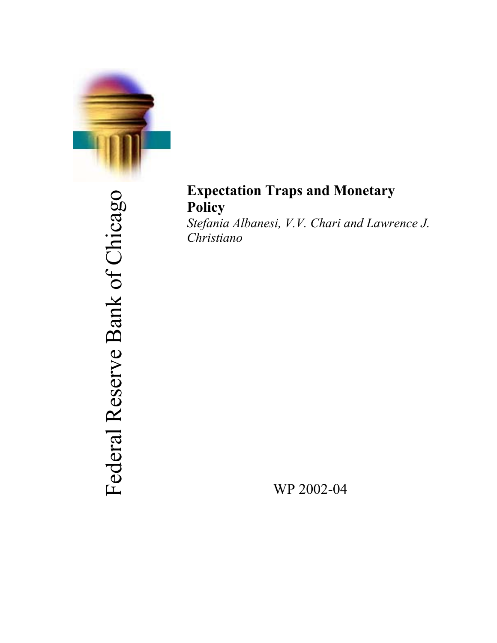

# Federal Reserve Bank of Chicago Federal Reserve Bank of Chicago

# **Expectation Traps and Monetary Policy**

*Stefania Albanesi, V.V. Chari and Lawrence J. Christiano*

WP 2002-04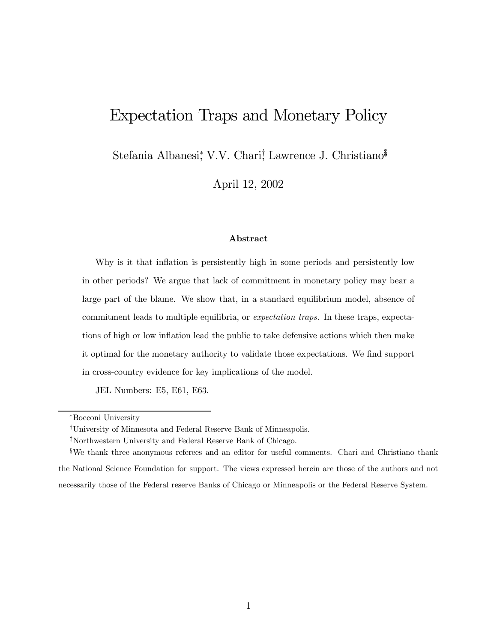# Expectation Traps and Monetary Policy

Stefania Albanesi<sup>\*</sup>, V.V. Chari<sup>†</sup>, Lawrence J. Christiano<sup>§</sup>

April 12, 2002

#### Abstract

Why is it that inflation is persistently high in some periods and persistently low in other periods? We argue that lack of commitment in monetary policy may bear a large part of the blame. We show that, in a standard equilibrium model, absence of commitment leads to multiple equilibria, or expectation traps. In these traps, expectations of high or low inflation lead the public to take defensive actions which then make it optimal for the monetary authority to validate those expectations. We find support in cross-country evidence for key implications of the model.

JEL Numbers: E5, E61, E63.

<sup>∗</sup>Bocconi University

<sup>†</sup>University of Minnesota and Federal Reserve Bank of Minneapolis.

<sup>‡</sup>Northwestern University and Federal Reserve Bank of Chicago.

<sup>§</sup>We thank three anonymous referees and an editor for useful comments. Chari and Christiano thank the National Science Foundation for support. The views expressed herein are those of the authors and not necessarily those of the Federal reserve Banks of Chicago or Minneapolis or the Federal Reserve System.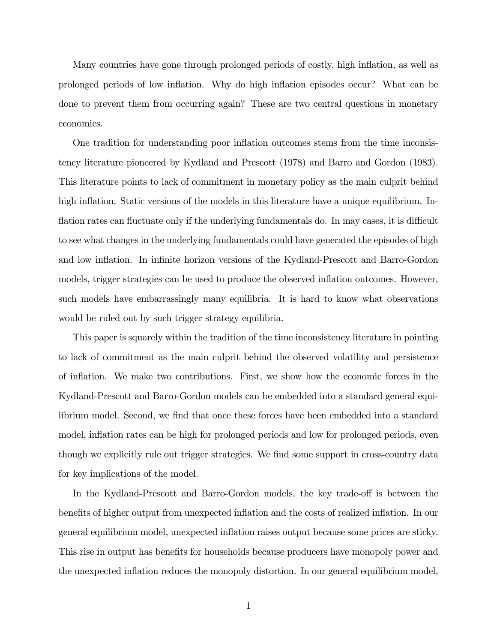Many countries have gone through prolonged periods of costly, high inflation, as well as prolonged periods of low inflation. Why do high inflation episodes occur? What can be done to prevent them from occurring again? These are two central questions in monetary economics.

One tradition for understanding poor inflation outcomes stems from the time inconsistency literature pioneered by Kydland and Prescott (1978) and Barro and Gordon (1983). This literature points to lack of commitment in monetary policy as the main culprit behind high inflation. Static versions of the models in this literature have a unique equilibrium. Inflation rates can fluctuate only if the underlying fundamentals do. In may cases, it is difficult to see what changes in the underlying fundamentals could have generated the episodes of high and low inflation. In infinite horizon versions of the Kydland-Prescott and Barro-Gordon models, trigger strategies can be used to produce the observed inflation outcomes. However, such models have embarrassingly many equilibria. It is hard to know what observations would be ruled out by such trigger strategy equilibria.

This paper is squarely within the tradition of the time inconsistency literature in pointing to lack of commitment as the main culprit behind the observed volatility and persistence of inflation. We make two contributions. First, we show how the economic forces in the Kydland-Prescott and Barro-Gordon models can be embedded into a standard general equilibrium model. Second, we find that once these forces have been embedded into a standard model, inflation rates can be high for prolonged periods and low for prolonged periods, even though we explicitly rule out trigger strategies. We find some support in cross-country data for key implications of the model.

In the Kydland-Prescott and Barro-Gordon models, the key trade-off is between the benefits of higher output from unexpected inflation and the costs of realized inflation. In our general equilibrium model, unexpected inflation raises output because some prices are sticky. This rise in output has benefits for households because producers have monopoly power and the unexpected inflation reduces the monopoly distortion. In our general equilibrium model,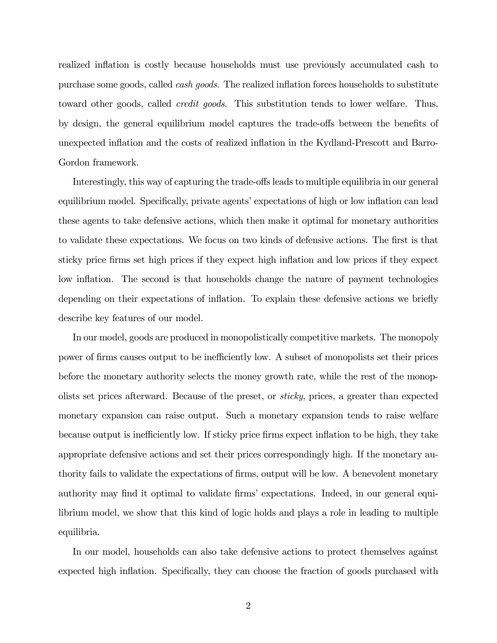realized inflation is costly because households must use previously accumulated cash to purchase some goods, called cash goods. The realized inflation forces households to substitute toward other goods, called credit goods. This substitution tends to lower welfare. Thus, by design, the general equilibrium model captures the trade-offs between the benefits of unexpected inflation and the costs of realized inflation in the Kydland-Prescott and Barro-Gordon framework.

Interestingly, this way of capturing the trade-offs leads to multiple equilibria in our general equilibrium model. Specifically, private agents' expectations of high or low inflation can lead these agents to take defensive actions, which then make it optimal for monetary authorities to validate these expectations. We focus on two kinds of defensive actions. The first is that sticky price firms set high prices if they expect high inflation and low prices if they expect low inflation. The second is that households change the nature of payment technologies depending on their expectations of inflation. To explain these defensive actions we briefly describe key features of our model.

In our model, goods are produced in monopolistically competitive markets. The monopoly power of firms causes output to be inefficiently low. A subset of monopolists set their prices before the monetary authority selects the money growth rate, while the rest of the monopolists set prices afterward. Because of the preset, or sticky, prices, a greater than expected monetary expansion can raise output. Such a monetary expansion tends to raise welfare because output is inefficiently low. If sticky price firms expect inflation to be high, they take appropriate defensive actions and set their prices correspondingly high. If the monetary authority fails to validate the expectations of firms, output will be low. A benevolent monetary authority may find it optimal to validate firms' expectations. Indeed, in our general equilibrium model, we show that this kind of logic holds and plays a role in leading to multiple equilibria.

In our model, households can also take defensive actions to protect themselves against expected high inflation. Specifically, they can choose the fraction of goods purchased with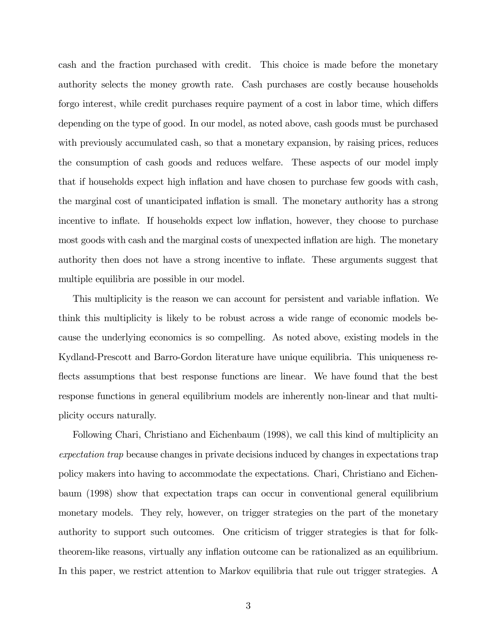cash and the fraction purchased with credit. This choice is made before the monetary authority selects the money growth rate. Cash purchases are costly because households forgo interest, while credit purchases require payment of a cost in labor time, which differs depending on the type of good. In our model, as noted above, cash goods must be purchased with previously accumulated cash, so that a monetary expansion, by raising prices, reduces the consumption of cash goods and reduces welfare. These aspects of our model imply that if households expect high inflation and have chosen to purchase few goods with cash, the marginal cost of unanticipated inflation is small. The monetary authority has a strong incentive to inflate. If households expect low inflation, however, they choose to purchase most goods with cash and the marginal costs of unexpected inflation are high. The monetary authority then does not have a strong incentive to inflate. These arguments suggest that multiple equilibria are possible in our model.

This multiplicity is the reason we can account for persistent and variable inflation. We think this multiplicity is likely to be robust across a wide range of economic models because the underlying economics is so compelling. As noted above, existing models in the Kydland-Prescott and Barro-Gordon literature have unique equilibria. This uniqueness reflects assumptions that best response functions are linear. We have found that the best response functions in general equilibrium models are inherently non-linear and that multiplicity occurs naturally.

Following Chari, Christiano and Eichenbaum (1998), we call this kind of multiplicity an expectation trap because changes in private decisions induced by changes in expectations trap policy makers into having to accommodate the expectations. Chari, Christiano and Eichenbaum (1998) show that expectation traps can occur in conventional general equilibrium monetary models. They rely, however, on trigger strategies on the part of the monetary authority to support such outcomes. One criticism of trigger strategies is that for folktheorem-like reasons, virtually any inflation outcome can be rationalized as an equilibrium. In this paper, we restrict attention to Markov equilibria that rule out trigger strategies. A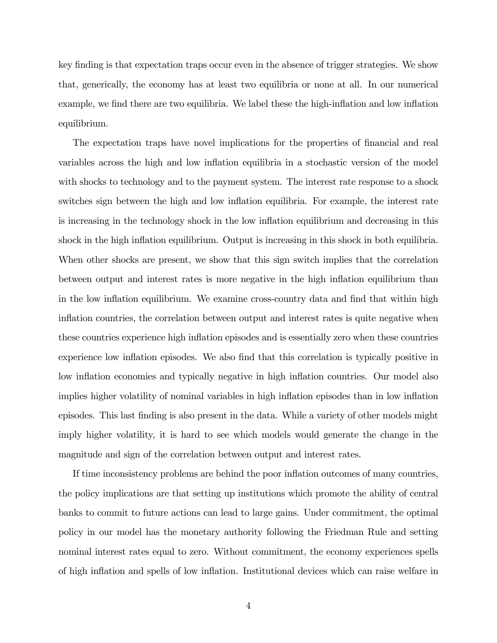key finding is that expectation traps occur even in the absence of trigger strategies. We show that, generically, the economy has at least two equilibria or none at all. In our numerical example, we find there are two equilibria. We label these the high-inflation and low inflation equilibrium.

The expectation traps have novel implications for the properties of financial and real variables across the high and low inflation equilibria in a stochastic version of the model with shocks to technology and to the payment system. The interest rate response to a shock switches sign between the high and low inflation equilibria. For example, the interest rate is increasing in the technology shock in the low inflation equilibrium and decreasing in this shock in the high inflation equilibrium. Output is increasing in this shock in both equilibria. When other shocks are present, we show that this sign switch implies that the correlation between output and interest rates is more negative in the high inflation equilibrium than in the low inflation equilibrium. We examine cross-country data and find that within high inflation countries, the correlation between output and interest rates is quite negative when these countries experience high inflation episodes and is essentially zero when these countries experience low inflation episodes. We also find that this correlation is typically positive in low inflation economies and typically negative in high inflation countries. Our model also implies higher volatility of nominal variables in high inflation episodes than in low inflation episodes. This last finding is also present in the data. While a variety of other models might imply higher volatility, it is hard to see which models would generate the change in the magnitude and sign of the correlation between output and interest rates.

If time inconsistency problems are behind the poor inflation outcomes of many countries, the policy implications are that setting up institutions which promote the ability of central banks to commit to future actions can lead to large gains. Under commitment, the optimal policy in our model has the monetary authority following the Friedman Rule and setting nominal interest rates equal to zero. Without commitment, the economy experiences spells of high inflation and spells of low inflation. Institutional devices which can raise welfare in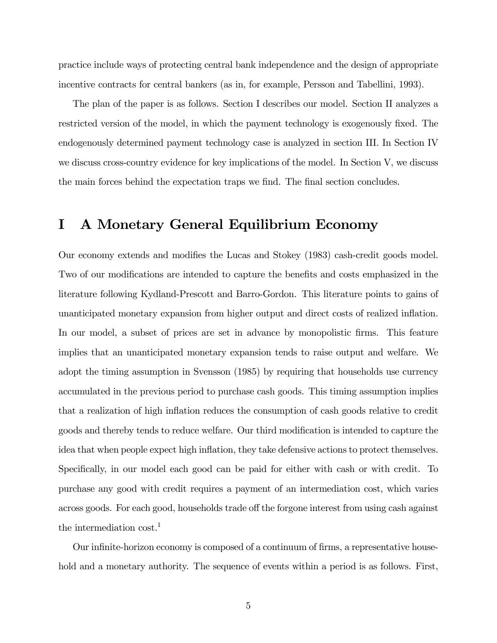practice include ways of protecting central bank independence and the design of appropriate incentive contracts for central bankers (as in, for example, Persson and Tabellini, 1993).

The plan of the paper is as follows. Section I describes our model. Section II analyzes a restricted version of the model, in which the payment technology is exogenously fixed. The endogenously determined payment technology case is analyzed in section III. In Section IV we discuss cross-country evidence for key implications of the model. In Section V, we discuss the main forces behind the expectation traps we find. The final section concludes.

## I A Monetary General Equilibrium Economy

Our economy extends and modifies the Lucas and Stokey (1983) cash-credit goods model. Two of our modifications are intended to capture the benefits and costs emphasized in the literature following Kydland-Prescott and Barro-Gordon. This literature points to gains of unanticipated monetary expansion from higher output and direct costs of realized inflation. In our model, a subset of prices are set in advance by monopolistic firms. This feature implies that an unanticipated monetary expansion tends to raise output and welfare. We adopt the timing assumption in Svensson (1985) by requiring that households use currency accumulated in the previous period to purchase cash goods. This timing assumption implies that a realization of high inflation reduces the consumption of cash goods relative to credit goods and thereby tends to reduce welfare. Our third modification is intended to capture the idea that when people expect high inflation, they take defensive actions to protect themselves. Specifically, in our model each good can be paid for either with cash or with credit. To purchase any good with credit requires a payment of an intermediation cost, which varies across goods. For each good, households trade off the forgone interest from using cash against the intermediation cost.<sup>1</sup>

Our infinite-horizon economy is composed of a continuum of firms, a representative household and a monetary authority. The sequence of events within a period is as follows. First,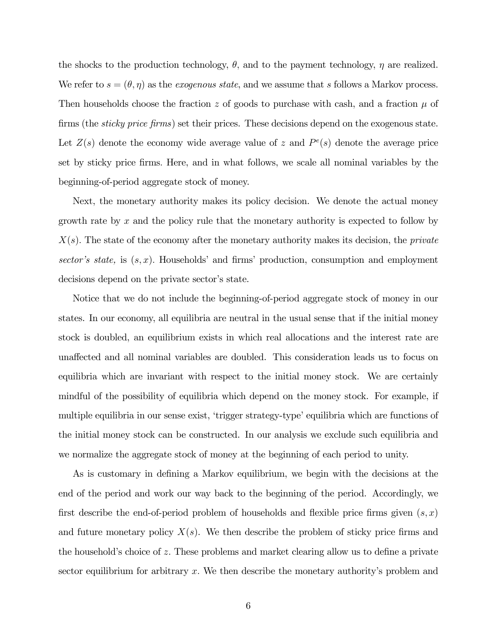the shocks to the production technology,  $\theta$ , and to the payment technology,  $\eta$  are realized. We refer to  $s = (\theta, \eta)$  as the *exogenous state*, and we assume that s follows a Markov process. Then households choose the fraction z of goods to purchase with cash, and a fraction  $\mu$  of firms (the *sticky price firms*) set their prices. These decisions depend on the exogenous state. Let  $Z(s)$  denote the economy wide average value of z and  $P^{e}(s)$  denote the average price set by sticky price firms. Here, and in what follows, we scale all nominal variables by the beginning-of-period aggregate stock of money.

Next, the monetary authority makes its policy decision. We denote the actual money growth rate by x and the policy rule that the monetary authority is expected to follow by  $X(s)$ . The state of the economy after the monetary authority makes its decision, the *private* sector's state, is  $(s, x)$ . Households' and firms' production, consumption and employment decisions depend on the private sector's state.

Notice that we do not include the beginning-of-period aggregate stock of money in our states. In our economy, all equilibria are neutral in the usual sense that if the initial money stock is doubled, an equilibrium exists in which real allocations and the interest rate are unaffected and all nominal variables are doubled. This consideration leads us to focus on equilibria which are invariant with respect to the initial money stock. We are certainly mindful of the possibility of equilibria which depend on the money stock. For example, if multiple equilibria in our sense exist, 'trigger strategy-type' equilibria which are functions of the initial money stock can be constructed. In our analysis we exclude such equilibria and we normalize the aggregate stock of money at the beginning of each period to unity.

As is customary in defining a Markov equilibrium, we begin with the decisions at the end of the period and work our way back to the beginning of the period. Accordingly, we first describe the end-of-period problem of households and flexible price firms given  $(s, x)$ and future monetary policy  $X(s)$ . We then describe the problem of sticky price firms and the household's choice of z. These problems and market clearing allow us to define a private sector equilibrium for arbitrary  $x$ . We then describe the monetary authority's problem and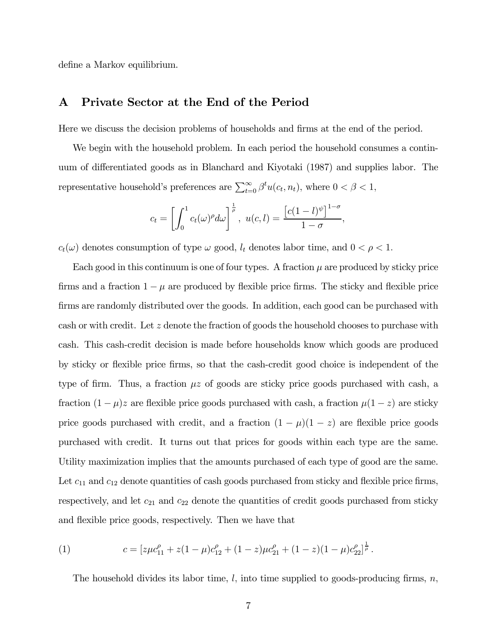define a Markov equilibrium.

#### A Private Sector at the End of the Period

Here we discuss the decision problems of households and firms at the end of the period.

We begin with the household problem. In each period the household consumes a continuum of differentiated goods as in Blanchard and Kiyotaki (1987) and supplies labor. The representative household's preferences are  $\sum_{t=0}^{\infty} \beta^t u(c_t, n_t)$ , where  $0 < \beta < 1$ ,

$$
c_t = \left[\int_0^1 c_t(\omega)^{\rho} d\omega\right]^{\frac{1}{\rho}}, \ u(c,l) = \frac{\left[c(1-l)^{\psi}\right]^{1-\sigma}}{1-\sigma},
$$

 $c_t(\omega)$  denotes consumption of type  $\omega$  good,  $l_t$  denotes labor time, and  $0 < \rho < 1$ .

Each good in this continuum is one of four types. A fraction  $\mu$  are produced by sticky price firms and a fraction  $1 - \mu$  are produced by flexible price firms. The sticky and flexible price firms are randomly distributed over the goods. In addition, each good can be purchased with cash or with credit. Let z denote the fraction of goods the household chooses to purchase with cash. This cash-credit decision is made before households know which goods are produced by sticky or flexible price firms, so that the cash-credit good choice is independent of the type of firm. Thus, a fraction  $\mu z$  of goods are sticky price goods purchased with cash, a fraction  $(1 - \mu)z$  are flexible price goods purchased with cash, a fraction  $\mu(1 - z)$  are sticky price goods purchased with credit, and a fraction  $(1 - \mu)(1 - z)$  are flexible price goods purchased with credit. It turns out that prices for goods within each type are the same. Utility maximization implies that the amounts purchased of each type of good are the same. Let  $c_{11}$  and  $c_{12}$  denote quantities of cash goods purchased from sticky and flexible price firms, respectively, and let  $c_{21}$  and  $c_{22}$  denote the quantities of credit goods purchased from sticky and flexible price goods, respectively. Then we have that

(1) 
$$
c = \left[ z \mu c_{11}^{\rho} + z (1 - \mu) c_{12}^{\rho} + (1 - z) \mu c_{21}^{\rho} + (1 - z) (1 - \mu) c_{22}^{\rho} \right]^{\frac{1}{\rho}}.
$$

The household divides its labor time,  $l$ , into time supplied to goods-producing firms,  $n$ ,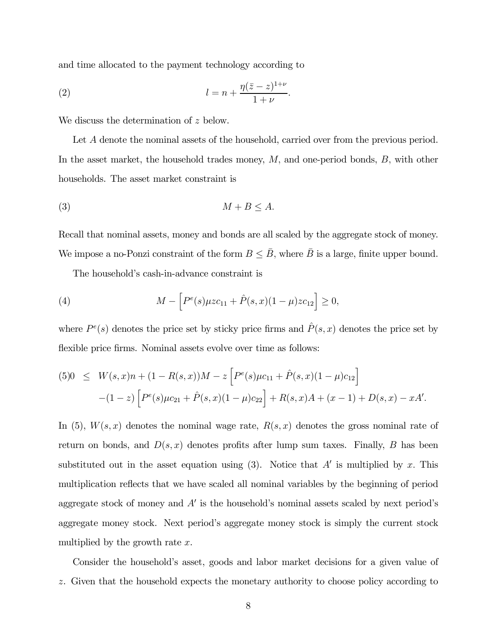and time allocated to the payment technology according to

(2) 
$$
l = n + \frac{\eta(\bar{z} - z)^{1+\nu}}{1+\nu}.
$$

We discuss the determination of z below.

Let A denote the nominal assets of the household, carried over from the previous period. In the asset market, the household trades money, M, and one-period bonds, B, with other households. The asset market constraint is

$$
(3) \t\t\t M + B \le A.
$$

Recall that nominal assets, money and bonds are all scaled by the aggregate stock of money. We impose a no-Ponzi constraint of the form  $B \leq \bar{B}$ , where  $\bar{B}$  is a large, finite upper bound.

The household's cash-in-advance constraint is

(4) 
$$
M - \left[ P^{e}(s) \mu z c_{11} + \hat{P}(s, x) (1 - \mu) z c_{12} \right] \geq 0,
$$

where  $P^e(s)$  denotes the price set by sticky price firms and  $\hat{P}(s, x)$  denotes the price set by flexible price firms. Nominal assets evolve over time as follows:

$$
(5) 0 \leq W(s, x)n + (1 - R(s, x))M - z \left[ P^{e}(s)\mu c_{11} + \hat{P}(s, x)(1 - \mu)c_{12} \right]
$$

$$
-(1 - z) \left[ P^{e}(s)\mu c_{21} + \hat{P}(s, x)(1 - \mu)c_{22} \right] + R(s, x)A + (x - 1) + D(s, x) - xA'.
$$

In (5),  $W(s, x)$  denotes the nominal wage rate,  $R(s, x)$  denotes the gross nominal rate of return on bonds, and  $D(s, x)$  denotes profits after lump sum taxes. Finally, B has been substituted out in the asset equation using  $(3)$ . Notice that A' is multiplied by x. This multiplication reflects that we have scaled all nominal variables by the beginning of period aggregate stock of money and  $A'$  is the household's nominal assets scaled by next period's aggregate money stock. Next period's aggregate money stock is simply the current stock multiplied by the growth rate  $x$ .

Consider the household's asset, goods and labor market decisions for a given value of z. Given that the household expects the monetary authority to choose policy according to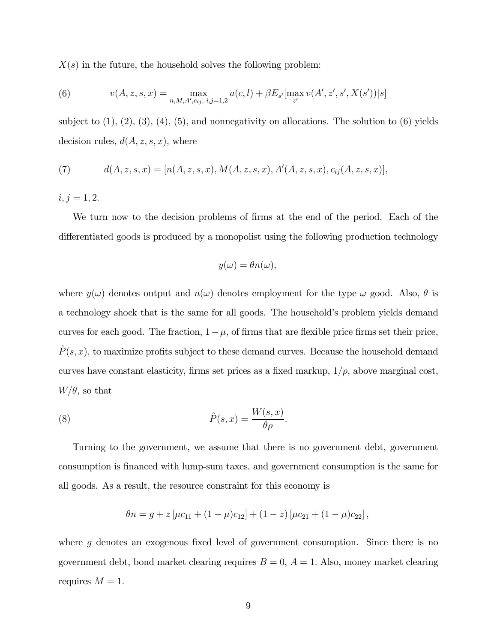$X(s)$  in the future, the household solves the following problem:

(6) 
$$
v(A, z, s, x) = \max_{n, M, A', c_{ij}; i, j=1,2} u(c, l) + \beta E_{s'}[\max_{z'} v(A', z', s', X(s'))|s]
$$

subject to  $(1)$ ,  $(2)$ ,  $(3)$ ,  $(4)$ ,  $(5)$ , and nonnegativity on allocations. The solution to  $(6)$  yields decision rules,  $d(A, z, s, x)$ , where

(7) 
$$
d(A, z, s, x) = [n(A, z, s, x), M(A, z, s, x), A'(A, z, s, x), c_{ij}(A, z, s, x)],
$$

 $i, j = 1, 2.$ 

We turn now to the decision problems of firms at the end of the period. Each of the differentiated goods is produced by a monopolist using the following production technology

$$
y(\omega) = \theta n(\omega),
$$

where  $y(\omega)$  denotes output and  $n(\omega)$  denotes employment for the type  $\omega$  good. Also,  $\theta$  is a technology shock that is the same for all goods. The household's problem yields demand curves for each good. The fraction,  $1-\mu$ , of firms that are flexible price firms set their price,  $\hat{P}(s, x)$ , to maximize profits subject to these demand curves. Because the household demand curves have constant elasticity, firms set prices as a fixed markup,  $1/\rho$ , above marginal cost,  $W/\theta$ , so that

(8) 
$$
\hat{P}(s,x) = \frac{W(s,x)}{\theta \rho}.
$$

Turning to the government, we assume that there is no government debt, government consumption is financed with lump-sum taxes, and government consumption is the same for all goods. As a result, the resource constraint for this economy is

$$
\theta n = g + z \left[ \mu c_{11} + (1 - \mu) c_{12} \right] + (1 - z) \left[ \mu c_{21} + (1 - \mu) c_{22} \right],
$$

where g denotes an exogenous fixed level of government consumption. Since there is no government debt, bond market clearing requires  $B = 0$ ,  $A = 1$ . Also, money market clearing requires  $M = 1$ .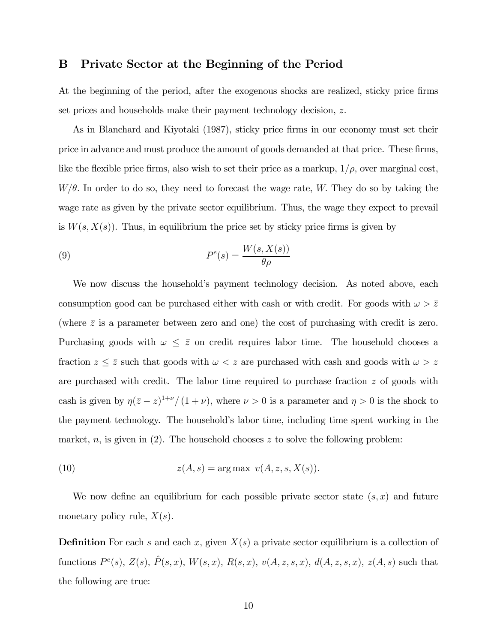#### B Private Sector at the Beginning of the Period

At the beginning of the period, after the exogenous shocks are realized, sticky price firms set prices and households make their payment technology decision, z.

As in Blanchard and Kiyotaki (1987), sticky price firms in our economy must set their price in advance and must produce the amount of goods demanded at that price. These firms, like the flexible price firms, also wish to set their price as a markup,  $1/\rho$ , over marginal cost,  $W/\theta$ . In order to do so, they need to forecast the wage rate, W. They do so by taking the wage rate as given by the private sector equilibrium. Thus, the wage they expect to prevail is  $W(s, X(s))$ . Thus, in equilibrium the price set by sticky price firms is given by

(9) 
$$
P^{e}(s) = \frac{W(s, X(s))}{\theta \rho}
$$

We now discuss the household's payment technology decision. As noted above, each consumption good can be purchased either with cash or with credit. For goods with  $\omega > \overline{z}$ (where  $\bar{z}$  is a parameter between zero and one) the cost of purchasing with credit is zero. Purchasing goods with  $\omega \leq \overline{z}$  on credit requires labor time. The household chooses a fraction  $z \leq \overline{z}$  such that goods with  $\omega < z$  are purchased with cash and goods with  $\omega > z$ are purchased with credit. The labor time required to purchase fraction  $z$  of goods with cash is given by  $\eta(\bar{z} - z)^{1+\nu}/(1+\nu)$ , where  $\nu > 0$  is a parameter and  $\eta > 0$  is the shock to the payment technology. The household's labor time, including time spent working in the market, n, is given in  $(2)$ . The household chooses z to solve the following problem:

(10) 
$$
z(A,s) = \arg \max v(A,z,s,X(s)).
$$

We now define an equilibrium for each possible private sector state  $(s, x)$  and future monetary policy rule,  $X(s)$ .

**Definition** For each s and each x, given  $X(s)$  a private sector equilibrium is a collection of functions  $P^{e}(s)$ ,  $Z(s)$ ,  $\hat{P}(s, x)$ ,  $W(s, x)$ ,  $R(s, x)$ ,  $v(A, z, s, x)$ ,  $d(A, z, s, x)$ ,  $z(A, s)$  such that the following are true: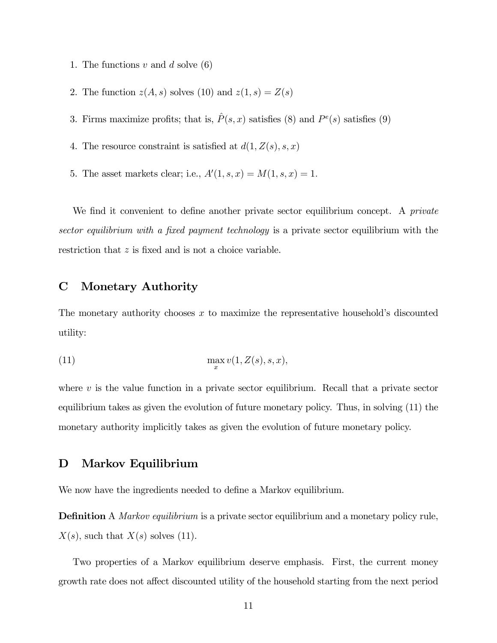- 1. The functions  $v$  and  $d$  solve  $(6)$
- 2. The function  $z(A, s)$  solves (10) and  $z(1, s) = Z(s)$
- 3. Firms maximize profits; that is,  $\hat{P}(s, x)$  satisfies (8) and  $P^e(s)$  satisfies (9)
- 4. The resource constraint is satisfied at  $d(1, Z(s), s, x)$
- 5. The asset markets clear; i.e.,  $A'(1, s, x) = M(1, s, x) = 1$ .

We find it convenient to define another private sector equilibrium concept. A *private* sector equilibrium with a fixed payment technology is a private sector equilibrium with the restriction that z is fixed and is not a choice variable.

#### C Monetary Authority

The monetary authority chooses  $x$  to maximize the representative household's discounted utility:

$$
\max_{x} v(1, Z(s), s, x),
$$

where  $v$  is the value function in a private sector equilibrium. Recall that a private sector equilibrium takes as given the evolution of future monetary policy. Thus, in solving (11) the monetary authority implicitly takes as given the evolution of future monetary policy.

#### D Markov Equilibrium

We now have the ingredients needed to define a Markov equilibrium.

**Definition** A *Markov equilibrium* is a private sector equilibrium and a monetary policy rule,  $X(s)$ , such that  $X(s)$  solves (11).

Two properties of a Markov equilibrium deserve emphasis. First, the current money growth rate does not affect discounted utility of the household starting from the next period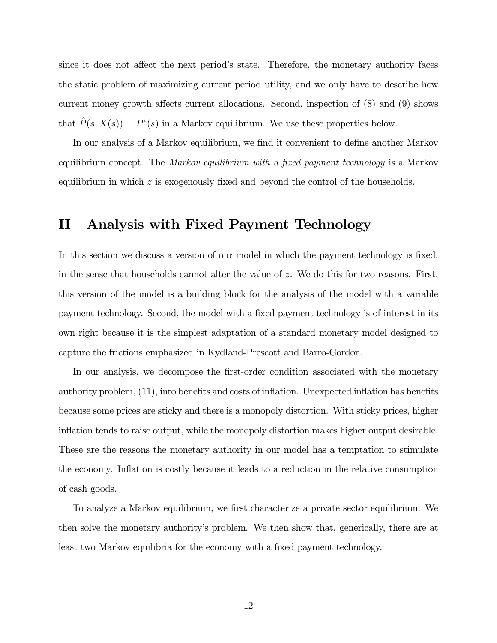since it does not affect the next period's state. Therefore, the monetary authority faces the static problem of maximizing current period utility, and we only have to describe how current money growth affects current allocations. Second, inspection of (8) and (9) shows that  $\hat{P}(s, X(s)) = P^e(s)$  in a Markov equilibrium. We use these properties below.

In our analysis of a Markov equilibrium, we find it convenient to define another Markov equilibrium concept. The Markov equilibrium with a fixed payment technology is a Markov equilibrium in which z is exogenously fixed and beyond the control of the households.

#### II Analysis with Fixed Payment Technology

In this section we discuss a version of our model in which the payment technology is fixed, in the sense that households cannot alter the value of  $z$ . We do this for two reasons. First, this version of the model is a building block for the analysis of the model with a variable payment technology. Second, the model with a fixed payment technology is of interest in its own right because it is the simplest adaptation of a standard monetary model designed to capture the frictions emphasized in Kydland-Prescott and Barro-Gordon.

In our analysis, we decompose the first-order condition associated with the monetary authority problem, (11), into benefits and costs of inflation. Unexpected inflation has benefits because some prices are sticky and there is a monopoly distortion. With sticky prices, higher inflation tends to raise output, while the monopoly distortion makes higher output desirable. These are the reasons the monetary authority in our model has a temptation to stimulate the economy. Inflation is costly because it leads to a reduction in the relative consumption of cash goods.

To analyze a Markov equilibrium, we first characterize a private sector equilibrium. We then solve the monetary authority's problem. We then show that, generically, there are at least two Markov equilibria for the economy with a fixed payment technology.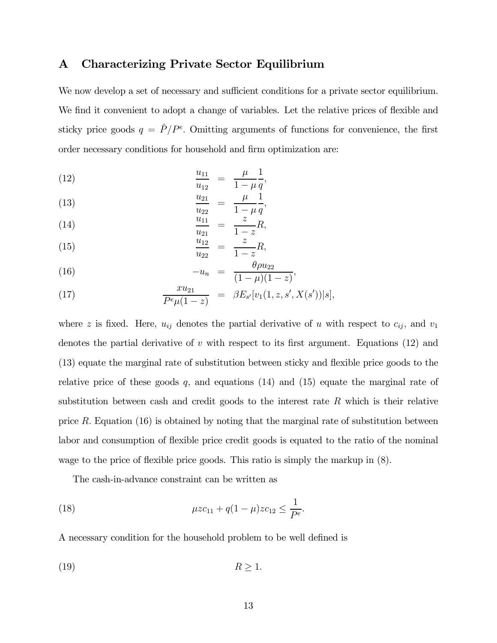#### A Characterizing Private Sector Equilibrium

We now develop a set of necessary and sufficient conditions for a private sector equilibrium. We find it convenient to adopt a change of variables. Let the relative prices of flexible and sticky price goods  $q = \hat{P}/P^e$ . Omitting arguments of functions for convenience, the first order necessary conditions for household and firm optimization are:

(12) 
$$
\frac{u_{11}}{u_{12}} = \frac{\mu}{1 - \mu} \frac{1}{q},
$$

(13) 
$$
\frac{u_{21}}{u_{22}} = \frac{\mu}{1-\mu}\frac{1}{q},
$$

(14) 
$$
\frac{u_{11}^2}{u_{21}} = \frac{z}{1-z}R,
$$

(15) 
$$
\frac{u_{12}^2}{u_{22}} = \frac{z}{1-z}R,
$$

(16) 
$$
-u_n = \frac{\theta \rho u_{22}}{(1-\mu)(1-z)},
$$

(17) 
$$
\frac{xu_{21}}{P^e\mu(1-z)} = \beta E_{s'}[v_1(1, z, s', X(s'))|s],
$$

where z is fixed. Here,  $u_{ij}$  denotes the partial derivative of u with respect to  $c_{ij}$ , and  $v_1$ denotes the partial derivative of  $v$  with respect to its first argument. Equations (12) and (13) equate the marginal rate of substitution between sticky and flexible price goods to the relative price of these goods  $q$ , and equations  $(14)$  and  $(15)$  equate the marginal rate of substitution between cash and credit goods to the interest rate  $R$  which is their relative price R. Equation  $(16)$  is obtained by noting that the marginal rate of substitution between labor and consumption of flexible price credit goods is equated to the ratio of the nominal wage to the price of flexible price goods. This ratio is simply the markup in (8).

The cash-in-advance constraint can be written as

(18) 
$$
\mu z c_{11} + q(1 - \mu) z c_{12} \leq \frac{1}{P^e}.
$$

A necessary condition for the household problem to be well defined is

$$
(19) \t\t R \ge 1.
$$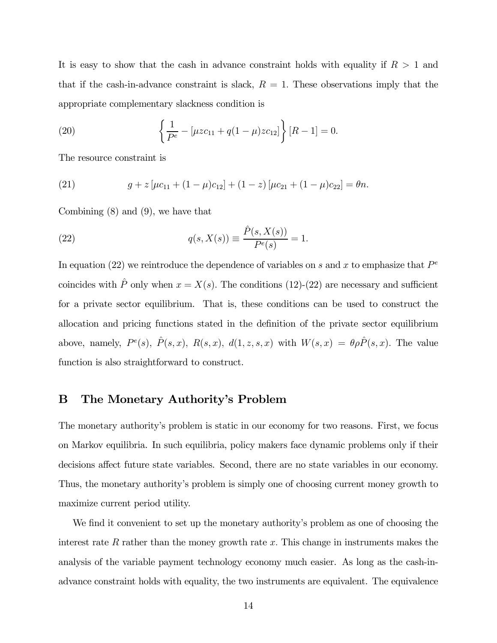It is easy to show that the cash in advance constraint holds with equality if  $R > 1$  and that if the cash-in-advance constraint is slack,  $R = 1$ . These observations imply that the appropriate complementary slackness condition is

(20) 
$$
\left\{\frac{1}{P^e} - \left[\mu z c_{11} + q(1-\mu)zc_{12}\right]\right\} [R-1] = 0.
$$

The resource constraint is

(21) 
$$
g + z \left[ \mu c_{11} + (1 - \mu) c_{12} \right] + (1 - z) \left[ \mu c_{21} + (1 - \mu) c_{22} \right] = \theta n.
$$

Combining (8) and (9), we have that

(22) 
$$
q(s, X(s)) \equiv \frac{\hat{P}(s, X(s))}{P^e(s)} = 1.
$$

In equation (22) we reintroduce the dependence of variables on s and x to emphasize that  $P^e$ coincides with  $\hat{P}$  only when  $x = X(s)$ . The conditions (12)-(22) are necessary and sufficient for a private sector equilibrium. That is, these conditions can be used to construct the allocation and pricing functions stated in the definition of the private sector equilibrium above, namely,  $P^{e}(s)$ ,  $\hat{P}(s,x)$ ,  $R(s,x)$ ,  $d(1, z, s, x)$  with  $W(s,x) = \theta \rho \hat{P}(s,x)$ . The value function is also straightforward to construct.

#### B The Monetary Authority's Problem

The monetary authority's problem is static in our economy for two reasons. First, we focus on Markov equilibria. In such equilibria, policy makers face dynamic problems only if their decisions affect future state variables. Second, there are no state variables in our economy. Thus, the monetary authority's problem is simply one of choosing current money growth to maximize current period utility.

We find it convenient to set up the monetary authority's problem as one of choosing the interest rate R rather than the money growth rate x. This change in instruments makes the analysis of the variable payment technology economy much easier. As long as the cash-inadvance constraint holds with equality, the two instruments are equivalent. The equivalence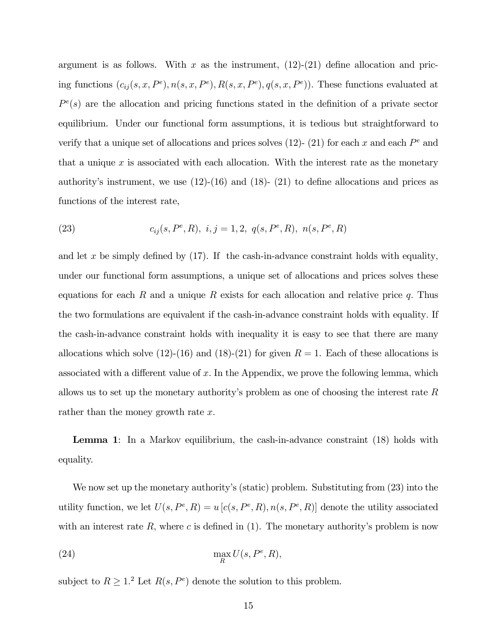argument is as follows. With x as the instrument,  $(12)-(21)$  define allocation and pricing functions  $(c_{ij}(s, x, P^e), n(s, x, P^e), R(s, x, P^e), q(s, x, P^e))$ . These functions evaluated at  $P^{e}(s)$  are the allocation and pricing functions stated in the definition of a private sector equilibrium. Under our functional form assumptions, it is tedious but straightforward to verify that a unique set of allocations and prices solves (12)- (21) for each x and each  $P<sup>e</sup>$  and that a unique  $x$  is associated with each allocation. With the interest rate as the monetary authority's instrument, we use  $(12)-(16)$  and  $(18)-(21)$  to define allocations and prices as functions of the interest rate,

(23) 
$$
c_{ij}(s, P^e, R), i, j = 1, 2, q(s, P^e, R), n(s, P^e, R)
$$

and let x be simply defined by  $(17)$ . If the cash-in-advance constraint holds with equality, under our functional form assumptions, a unique set of allocations and prices solves these equations for each R and a unique R exists for each allocation and relative price q. Thus the two formulations are equivalent if the cash-in-advance constraint holds with equality. If the cash-in-advance constraint holds with inequality it is easy to see that there are many allocations which solve (12)-(16) and (18)-(21) for given  $R = 1$ . Each of these allocations is associated with a different value of  $x$ . In the Appendix, we prove the following lemma, which allows us to set up the monetary authority's problem as one of choosing the interest rate R rather than the money growth rate x.

Lemma 1: In a Markov equilibrium, the cash-in-advance constraint (18) holds with equality.

We now set up the monetary authority's (static) problem. Substituting from (23) into the utility function, we let  $U(s, P^e, R) = u[c(s, P^e, R), n(s, P^e, R)]$  denote the utility associated with an interest rate  $R$ , where  $c$  is defined in (1). The monetary authority's problem is now

(24) 
$$
\max_{R} U(s, P^e, R),
$$

subject to  $R \geq 1$ <sup>2</sup> Let  $R(s, P^e)$  denote the solution to this problem.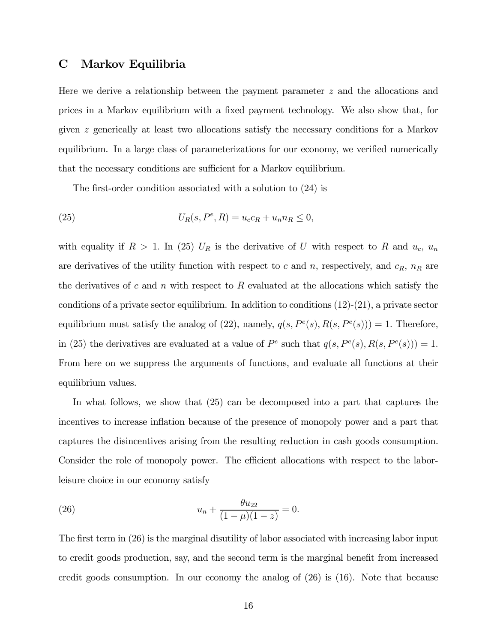#### C Markov Equilibria

Here we derive a relationship between the payment parameter z and the allocations and prices in a Markov equilibrium with a fixed payment technology. We also show that, for given z generically at least two allocations satisfy the necessary conditions for a Markov equilibrium. In a large class of parameterizations for our economy, we verified numerically that the necessary conditions are sufficient for a Markov equilibrium.

The first-order condition associated with a solution to (24) is

(25) 
$$
U_R(s, P^e, R) = u_c c_R + u_n n_R \leq 0,
$$

with equality if  $R > 1$ . In (25)  $U_R$  is the derivative of U with respect to R and  $u_c$ ,  $u_n$ are derivatives of the utility function with respect to  $c$  and  $n$ , respectively, and  $c_R$ ,  $n_R$  are the derivatives of c and n with respect to R evaluated at the allocations which satisfy the conditions of a private sector equilibrium. In addition to conditions  $(12)-(21)$ , a private sector equilibrium must satisfy the analog of (22), namely,  $q(s, P^e(s), R(s, P^e(s))) = 1$ . Therefore, in (25) the derivatives are evaluated at a value of  $P^e$  such that  $q(s, P^e(s), R(s, P^e(s))) = 1$ . From here on we suppress the arguments of functions, and evaluate all functions at their equilibrium values.

In what follows, we show that (25) can be decomposed into a part that captures the incentives to increase inflation because of the presence of monopoly power and a part that captures the disincentives arising from the resulting reduction in cash goods consumption. Consider the role of monopoly power. The efficient allocations with respect to the laborleisure choice in our economy satisfy

(26) 
$$
u_n + \frac{\theta u_{22}}{(1-\mu)(1-z)} = 0.
$$

The first term in (26) is the marginal disutility of labor associated with increasing labor input to credit goods production, say, and the second term is the marginal benefit from increased credit goods consumption. In our economy the analog of (26) is (16). Note that because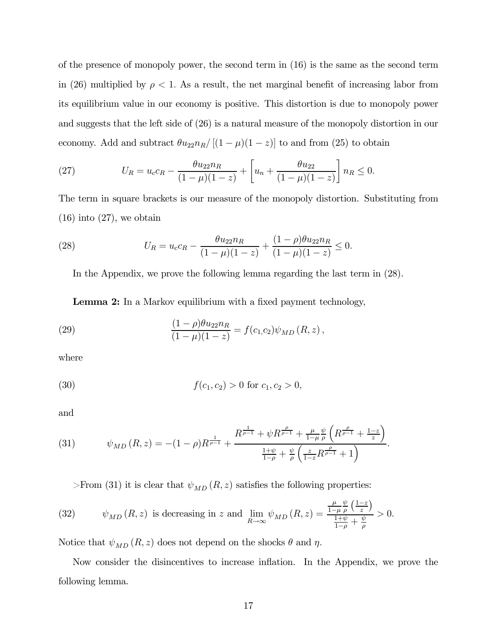of the presence of monopoly power, the second term in (16) is the same as the second term in (26) multiplied by  $\rho < 1$ . As a result, the net marginal benefit of increasing labor from its equilibrium value in our economy is positive. This distortion is due to monopoly power and suggests that the left side of (26) is a natural measure of the monopoly distortion in our economy. Add and subtract  $\theta u_{22}n_R/[(1 - \mu)(1 - z)]$  to and from (25) to obtain

(27) 
$$
U_R = u_c c_R - \frac{\theta u_{22} n_R}{(1 - \mu)(1 - z)} + \left[ u_n + \frac{\theta u_{22}}{(1 - \mu)(1 - z)} \right] n_R \le 0.
$$

The term in square brackets is our measure of the monopoly distortion. Substituting from  $(16)$  into  $(27)$ , we obtain

(28) 
$$
U_R = u_c c_R - \frac{\theta u_{22} n_R}{(1-\mu)(1-z)} + \frac{(1-\rho)\theta u_{22} n_R}{(1-\mu)(1-z)} \leq 0.
$$

In the Appendix, we prove the following lemma regarding the last term in (28).

Lemma 2: In a Markov equilibrium with a fixed payment technology,

(29) 
$$
\frac{(1-\rho)\theta u_{22}n_R}{(1-\mu)(1-z)} = f(c_{1,c_2})\psi_{MD}(R,z),
$$

where

(30) 
$$
f(c_1, c_2) > 0 \text{ for } c_1, c_2 > 0,
$$

and

(31) 
$$
\psi_{MD}(R, z) = -(1 - \rho)R^{\frac{1}{\rho - 1}} + \frac{R^{\frac{1}{\rho - 1}} + \psi R^{\frac{\rho}{\rho - 1}} + \frac{\mu}{1 - \mu} \frac{\psi}{\rho} \left( R^{\frac{\rho}{\rho - 1}} + \frac{1 - z}{z} \right)}{\frac{1 + \psi}{1 - \rho} + \frac{\psi}{\rho} \left( \frac{z}{1 - z} R^{\frac{\rho}{\rho - 1}} + 1 \right)}.
$$

>From (31) it is clear that  $\psi_{MD}(R, z)$  satisfies the following properties:

(32) 
$$
\psi_{MD}(R, z) \text{ is decreasing in } z \text{ and } \lim_{R \to \infty} \psi_{MD}(R, z) = \frac{\frac{\mu}{1 - \mu} \frac{\psi}{\rho} \left(\frac{1 - z}{z}\right)}{\frac{1 + \psi}{1 - \rho} + \frac{\psi}{\rho}} > 0.
$$

Notice that  $\psi_{MD}(R, z)$  does not depend on the shocks  $\theta$  and  $\eta$ .

Now consider the disincentives to increase inflation. In the Appendix, we prove the following lemma.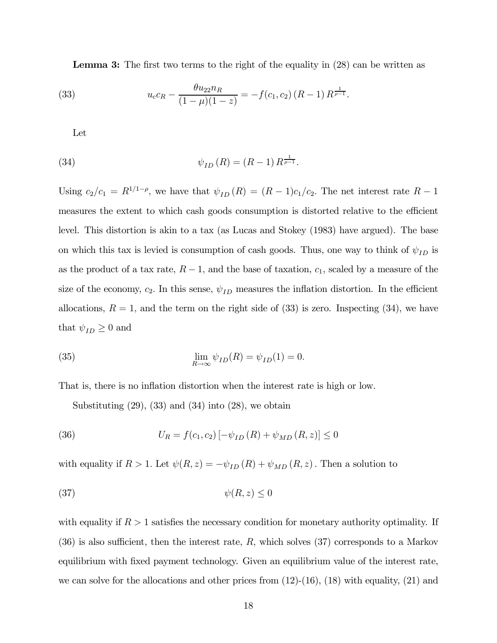Lemma 3: The first two terms to the right of the equality in  $(28)$  can be written as

(33) 
$$
u_c c_R - \frac{\theta u_{22} n_R}{(1-\mu)(1-z)} = -f(c_1, c_2) (R-1) R^{\frac{1}{\rho-1}}.
$$

Let

(34) 
$$
\psi_{ID}(R) = (R-1) R^{\frac{1}{\rho-1}}.
$$

Using  $c_2/c_1 = R^{1/1-\rho}$ , we have that  $\psi_{ID}(R) = (R - 1)c_1/c_2$ . The net interest rate  $R - 1$ measures the extent to which cash goods consumption is distorted relative to the efficient level. This distortion is akin to a tax (as Lucas and Stokey (1983) have argued). The base on which this tax is levied is consumption of cash goods. Thus, one way to think of  $\psi_{ID}$  is as the product of a tax rate,  $R-1$ , and the base of taxation,  $c_1$ , scaled by a measure of the size of the economy,  $c_2$ . In this sense,  $\psi_{ID}$  measures the inflation distortion. In the efficient allocations,  $R = 1$ , and the term on the right side of (33) is zero. Inspecting (34), we have that  $\psi_{ID} \geq 0$  and

(35) 
$$
\lim_{R \to \infty} \psi_{ID}(R) = \psi_{ID}(1) = 0.
$$

That is, there is no inflation distortion when the interest rate is high or low.

Substituting  $(29)$ ,  $(33)$  and  $(34)$  into  $(28)$ , we obtain

(36) 
$$
U_R = f(c_1, c_2) \left[ -\psi_{ID}(R) + \psi_{MD}(R, z) \right] \le 0
$$

with equality if  $R > 1$ . Let  $\psi(R, z) = -\psi_{ID}(R) + \psi_{MD}(R, z)$ . Then a solution to

$$
\psi(R, z) \le 0
$$

with equality if  $R > 1$  satisfies the necessary condition for monetary authority optimality. If  $(36)$  is also sufficient, then the interest rate, R, which solves  $(37)$  corresponds to a Markov equilibrium with fixed payment technology. Given an equilibrium value of the interest rate, we can solve for the allocations and other prices from  $(12)-(16)$ ,  $(18)$  with equality,  $(21)$  and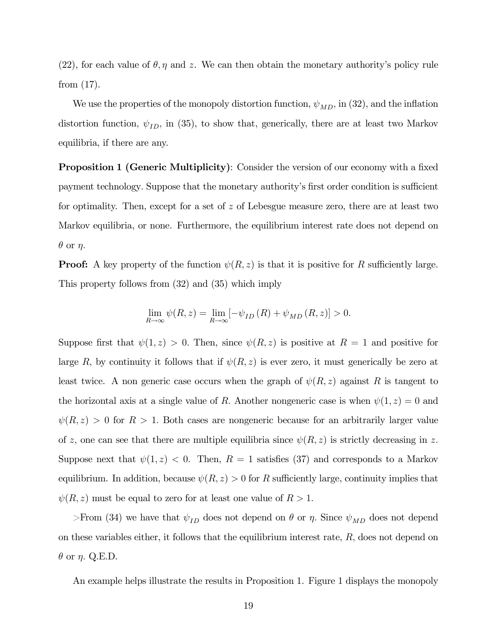(22), for each value of  $\theta$ ,  $\eta$  and z. We can then obtain the monetary authority's policy rule from (17).

We use the properties of the monopoly distortion function,  $\psi_{MD}$ , in (32), and the inflation distortion function,  $\psi_{ID}$ , in (35), to show that, generically, there are at least two Markov equilibria, if there are any.

**Proposition 1 (Generic Multiplicity)**: Consider the version of our economy with a fixed payment technology. Suppose that the monetary authority's first order condition is sufficient for optimality. Then, except for a set of z of Lebesgue measure zero, there are at least two Markov equilibria, or none. Furthermore, the equilibrium interest rate does not depend on  $\theta$  or  $\eta$ .

**Proof:** A key property of the function  $\psi(R, z)$  is that it is positive for R sufficiently large. This property follows from (32) and (35) which imply

$$
\lim_{R \to \infty} \psi(R, z) = \lim_{R \to \infty} \left[ -\psi_{ID}(R) + \psi_{MD}(R, z) \right] > 0.
$$

Suppose first that  $\psi(1, z) > 0$ . Then, since  $\psi(R, z)$  is positive at  $R = 1$  and positive for large R, by continuity it follows that if  $\psi(R, z)$  is ever zero, it must generically be zero at least twice. A non generic case occurs when the graph of  $\psi(R, z)$  against R is tangent to the horizontal axis at a single value of R. Another nongeneric case is when  $\psi(1, z)=0$  and  $\psi(R, z) > 0$  for  $R > 1$ . Both cases are nongeneric because for an arbitrarily larger value of z, one can see that there are multiple equilibria since  $\psi(R, z)$  is strictly decreasing in z. Suppose next that  $\psi(1, z) < 0$ . Then,  $R = 1$  satisfies (37) and corresponds to a Markov equilibrium. In addition, because  $\psi(R, z) > 0$  for R sufficiently large, continuity implies that  $\psi(R, z)$  must be equal to zero for at least one value of  $R > 1$ .

>From (34) we have that  $\psi_{ID}$  does not depend on  $\theta$  or  $\eta$ . Since  $\psi_{MD}$  does not depend on these variables either, it follows that the equilibrium interest rate,  $R$ , does not depend on  $\theta$  or  $\eta$ . Q.E.D.

An example helps illustrate the results in Proposition 1. Figure 1 displays the monopoly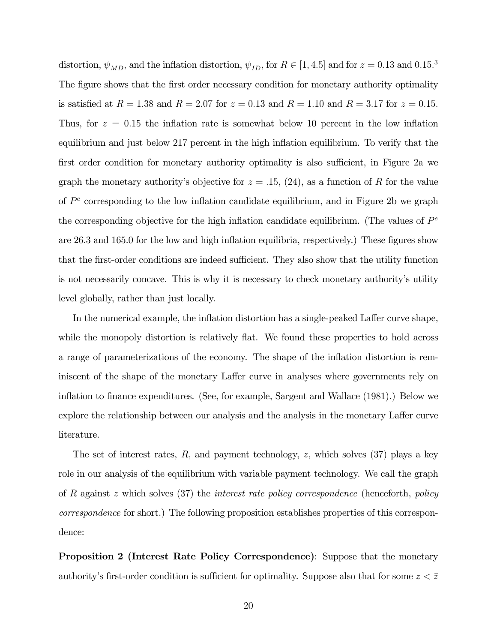distortion,  $\psi_{MD}$ , and the inflation distortion,  $\psi_{ID}$ , for  $R \in [1, 4.5]$  and for  $z = 0.13$  and  $0.15$ .<sup>3</sup> The figure shows that the first order necessary condition for monetary authority optimality is satisfied at  $R = 1.38$  and  $R = 2.07$  for  $z = 0.13$  and  $R = 1.10$  and  $R = 3.17$  for  $z = 0.15$ . Thus, for  $z = 0.15$  the inflation rate is somewhat below 10 percent in the low inflation equilibrium and just below 217 percent in the high inflation equilibrium. To verify that the first order condition for monetary authority optimality is also sufficient, in Figure 2a we graph the monetary authority's objective for  $z = .15, (24)$ , as a function of R for the value of  $P^e$  corresponding to the low inflation candidate equilibrium, and in Figure 2b we graph the corresponding objective for the high inflation candidate equilibrium. (The values of  $P^e$ are 26.3 and 165.0 for the low and high inflation equilibria, respectively.) These figures show that the first-order conditions are indeed sufficient. They also show that the utility function is not necessarily concave. This is why it is necessary to check monetary authority's utility level globally, rather than just locally.

In the numerical example, the inflation distortion has a single-peaked Laffer curve shape, while the monopoly distortion is relatively flat. We found these properties to hold across a range of parameterizations of the economy. The shape of the inflation distortion is reminiscent of the shape of the monetary Laffer curve in analyses where governments rely on inflation to finance expenditures. (See, for example, Sargent and Wallace (1981).) Below we explore the relationship between our analysis and the analysis in the monetary Laffer curve literature.

The set of interest rates,  $R$ , and payment technology,  $z$ , which solves  $(37)$  plays a key role in our analysis of the equilibrium with variable payment technology. We call the graph of R against z which solves  $(37)$  the *interest rate policy correspondence* (henceforth, *policy* correspondence for short.) The following proposition establishes properties of this correspondence:

Proposition 2 (Interest Rate Policy Correspondence): Suppose that the monetary authority's first-order condition is sufficient for optimality. Suppose also that for some  $z < \overline{z}$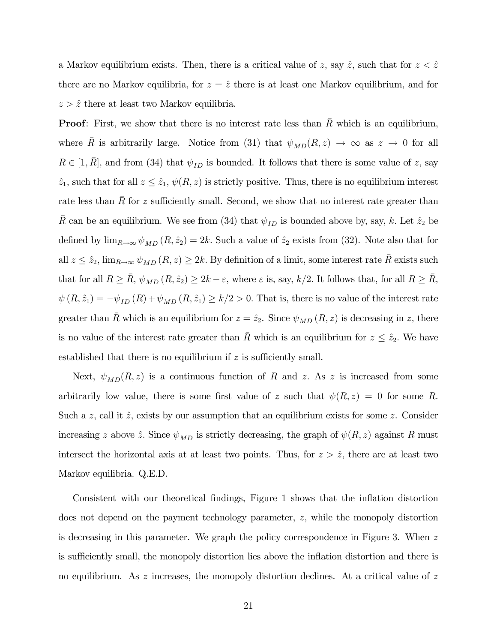a Markov equilibrium exists. Then, there is a critical value of z, say  $\hat{z}$ , such that for  $z < \hat{z}$ there are no Markov equilibria, for  $z = \hat{z}$  there is at least one Markov equilibrium, and for  $z > \hat{z}$  there at least two Markov equilibria.

**Proof:** First, we show that there is no interest rate less than  $R$  which is an equilibrium, where  $\overline{R}$  is arbitrarily large. Notice from (31) that  $\psi_{MD}(R, z) \to \infty$  as  $z \to 0$  for all  $R \in [1, \bar{R}]$ , and from (34) that  $\psi_{ID}$  is bounded. It follows that there is some value of z, say  $\hat{z}_1$ , such that for all  $z \leq \hat{z}_1$ ,  $\psi(R, z)$  is strictly positive. Thus, there is no equilibrium interest rate less than  $R$  for  $z$  sufficiently small. Second, we show that no interest rate greater than R can be an equilibrium. We see from (34) that  $\psi_{ID}$  is bounded above by, say, k. Let  $\hat{z}_2$  be defined by  $\lim_{R\to\infty}\psi_{MD}(R,\hat{z}_2)=2k$ . Such a value of  $\hat{z}_2$  exists from (32). Note also that for all  $z \leq \hat{z}_2$ ,  $\lim_{R\to\infty} \psi_{MD}(R, z) \geq 2k$ . By definition of a limit, some interest rate  $\bar{R}$  exists such that for all  $R \ge \bar{R}$ ,  $\psi_{MD}(R, \hat{z}_2) \ge 2k - \varepsilon$ , where  $\varepsilon$  is, say,  $k/2$ . It follows that, for all  $R \ge \bar{R}$ ,  $\psi(R, \hat{z}_1) = -\psi_{ID}(R) + \psi_{MD}(R, \hat{z}_1) \ge k/2 > 0$ . That is, there is no value of the interest rate greater than  $\overline{R}$  which is an equilibrium for  $z = \hat{z}_2$ . Since  $\psi_{MD}(R, z)$  is decreasing in z, there is no value of the interest rate greater than  $\overline{R}$  which is an equilibrium for  $z \leq \hat{z}_2$ . We have established that there is no equilibrium if  $z$  is sufficiently small.

Next,  $\psi_{MD}(R, z)$  is a continuous function of R and z. As z is increased from some arbitrarily low value, there is some first value of z such that  $\psi(R, z)=0$  for some R. Such a z, call it  $\hat{z}$ , exists by our assumption that an equilibrium exists for some z. Consider increasing z above  $\hat{z}$ . Since  $\psi_{MD}$  is strictly decreasing, the graph of  $\psi(R, z)$  against R must intersect the horizontal axis at at least two points. Thus, for  $z > \hat{z}$ , there are at least two Markov equilibria. Q.E.D.

Consistent with our theoretical findings, Figure 1 shows that the inflation distortion does not depend on the payment technology parameter, z, while the monopoly distortion is decreasing in this parameter. We graph the policy correspondence in Figure 3. When z is sufficiently small, the monopoly distortion lies above the inflation distortion and there is no equilibrium. As z increases, the monopoly distortion declines. At a critical value of  $z$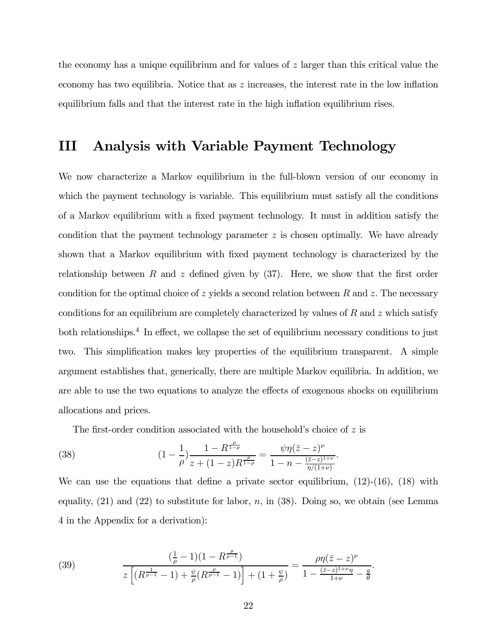the economy has a unique equilibrium and for values of  $z$  larger than this critical value the economy has two equilibria. Notice that as  $z$  increases, the interest rate in the low inflation equilibrium falls and that the interest rate in the high inflation equilibrium rises.

# III Analysis with Variable Payment Technology

We now characterize a Markov equilibrium in the full-blown version of our economy in which the payment technology is variable. This equilibrium must satisfy all the conditions of a Markov equilibrium with a fixed payment technology. It must in addition satisfy the condition that the payment technology parameter z is chosen optimally. We have already shown that a Markov equilibrium with fixed payment technology is characterized by the relationship between R and z defined given by  $(37)$ . Here, we show that the first order condition for the optimal choice of z yields a second relation between R and z. The necessary conditions for an equilibrium are completely characterized by values of  $R$  and  $z$  which satisfy both relationships.<sup>4</sup> In effect, we collapse the set of equilibrium necessary conditions to just two. This simplification makes key properties of the equilibrium transparent. A simple argument establishes that, generically, there are multiple Markov equilibria. In addition, we are able to use the two equations to analyze the effects of exogenous shocks on equilibrium allocations and prices.

The first-order condition associated with the household's choice of z is

(38) 
$$
(1 - \frac{1}{\rho}) \frac{1 - R^{\frac{\rho}{1 - \rho}}}{z + (1 - z)R^{\frac{\rho}{1 - \rho}}} = \frac{\psi \eta(\bar{z} - z)^{\nu}}{1 - n - \frac{(\bar{z} - z)^{1 + \nu}}{\eta/(1 + \nu)}}.
$$

We can use the equations that define a private sector equilibrium,  $(12)-(16)$ ,  $(18)$  with equality,  $(21)$  and  $(22)$  to substitute for labor, n, in  $(38)$ . Doing so, we obtain (see Lemma 4 in the Appendix for a derivation):

(39) 
$$
\frac{\left(\frac{1}{\rho}-1\right)\left(1-R^{\frac{\rho}{\rho-1}}\right)}{z\left[\left(R^{\frac{1}{\rho-1}}-1\right)+\frac{\psi}{\rho}\left(R^{\frac{\rho}{\rho-1}}-1\right)\right]+\left(1+\frac{\psi}{\rho}\right)}=\frac{\rho\eta(\bar{z}-z)^{\nu}}{1-\frac{(\bar{z}-z)^{1+\nu}\eta}{1+\nu}-\frac{g}{\theta}}.
$$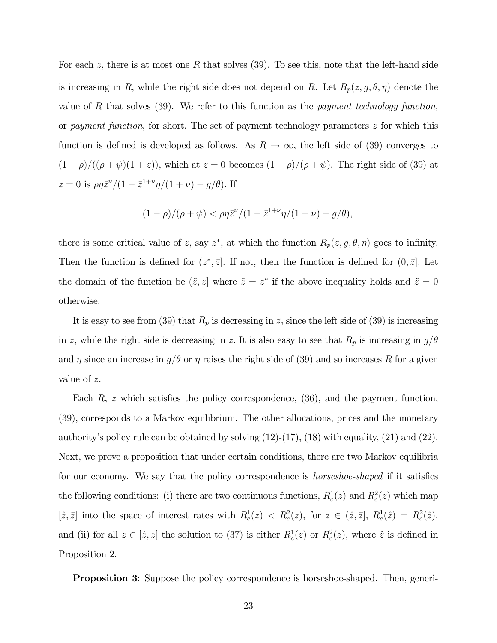For each z, there is at most one R that solves  $(39)$ . To see this, note that the left-hand side is increasing in R, while the right side does not depend on R. Let  $R_p(z, g, \theta, \eta)$  denote the value of R that solves  $(39)$ . We refer to this function as the *payment technology function*, or payment function, for short. The set of payment technology parameters  $z$  for which this function is defined is developed as follows. As  $R \to \infty$ , the left side of (39) converges to  $(1 - \rho)/((\rho + \psi)(1 + z))$ , which at  $z = 0$  becomes  $(1 - \rho)/(\rho + \psi)$ . The right side of (39) at  $z = 0$  is  $\rho \eta \bar{z}^{\nu}/(1 - \bar{z}^{1+\nu} \eta/(1+\nu) - g/\theta)$ . If

$$
(1 - \rho) / (\rho + \psi) < \rho \eta \bar{z}^{\nu} / (1 - \bar{z}^{1 + \nu} \eta / (1 + \nu) - g / \theta),
$$

there is some critical value of z, say  $z^*$ , at which the function  $R_p(z, g, \theta, \eta)$  goes to infinity. Then the function is defined for  $(z^*, \bar{z}]$ . If not, then the function is defined for  $(0, \bar{z}]$ . Let the domain of the function be  $(\tilde{z}, \bar{z}]$  where  $\tilde{z} = z^*$  if the above inequality holds and  $\tilde{z} = 0$ otherwise.

It is easy to see from (39) that  $R_p$  is decreasing in z, since the left side of (39) is increasing in z, while the right side is decreasing in z. It is also easy to see that  $R_p$  is increasing in  $g/\theta$ and  $\eta$  since an increase in  $g/\theta$  or  $\eta$  raises the right side of (39) and so increases R for a given value of z.

Each  $R$ ,  $z$  which satisfies the policy correspondence, (36), and the payment function, (39), corresponds to a Markov equilibrium. The other allocations, prices and the monetary authority's policy rule can be obtained by solving (12)-(17), (18) with equality, (21) and (22). Next, we prove a proposition that under certain conditions, there are two Markov equilibria for our economy. We say that the policy correspondence is *horseshoe-shaped* if it satisfies the following conditions: (i) there are two continuous functions,  $R_c^1(z)$  and  $R_c^2(z)$  which map  $[\hat{z}, \bar{z}]$  into the space of interest rates with  $R_c^1(z) < R_c^2(z)$ , for  $z \in (\hat{z}, \bar{z}], R_c^1(\hat{z}) = R_c^2(\hat{z}),$ and (ii) for all  $z \in [\hat{z}, \bar{z}]$  the solution to (37) is either  $R_c^1(z)$  or  $R_c^2(z)$ , where  $\hat{z}$  is defined in Proposition 2.

**Proposition 3:** Suppose the policy correspondence is horseshoe-shaped. Then, generi-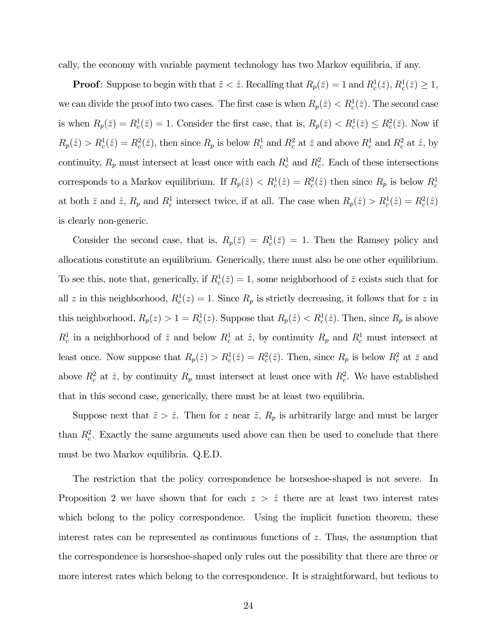cally, the economy with variable payment technology has two Markov equilibria, if any.

**Proof**: Suppose to begin with that  $\tilde{z} < \hat{z}$ . Recalling that  $R_p(\bar{z}) = 1$  and  $R_c^1(\bar{z}), R_c^1(\bar{z}) \geq 1$ , we can divide the proof into two cases. The first case is when  $R_p(\bar{z}) < R_c^1(\bar{z})$ . The second case is when  $R_p(\bar{z}) = R_c^1(\bar{z}) = 1$ . Consider the first case, that is,  $R_p(\bar{z}) < R_c^1(\bar{z}) \leq R_c^2(\bar{z})$ . Now if  $R_p(\hat{z}) > R_c^1(\hat{z}) = R_c^2(\hat{z})$ , then since  $R_p$  is below  $R_c^1$  and  $R_c^2$  at  $\bar{z}$  and above  $R_c^1$  and  $R_c^2$  at  $\hat{z}$ , by continuity,  $R_p$  must intersect at least once with each  $R_c^1$  and  $R_c^2$ . Each of these intersections corresponds to a Markov equilibrium. If  $R_p(\hat{z}) < R_c^1(\hat{z}) = R_c^2(\hat{z})$  then since  $R_p$  is below  $R_c^1$ at both  $\bar{z}$  and  $\hat{z}$ ,  $R_p$  and  $R_c^1$  intersect twice, if at all. The case when  $R_p(\hat{z}) > R_c^1(\hat{z}) = R_c^2(\hat{z})$ is clearly non-generic.

Consider the second case, that is,  $R_p(\bar{z}) = R_c^1(\bar{z}) = 1$ . Then the Ramsey policy and allocations constitute an equilibrium. Generically, there must also be one other equilibrium. To see this, note that, generically, if  $R_c^1(\bar{z})=1$ , some neighborhood of  $\bar{z}$  exists such that for all z in this neighborhood,  $R_c^1(z) = 1$ . Since  $R_p$  is strictly decreasing, it follows that for z in this neighborhood,  $R_p(z) > 1 = R_c^1(z)$ . Suppose that  $R_p(\hat{z}) < R_c^1(\hat{z})$ . Then, since  $R_p$  is above  $R_c^1$  in a neighborhood of  $\bar{z}$  and below  $R_c^1$  at  $\hat{z}$ , by continuity  $R_p$  and  $R_c^1$  must intersect at least once. Now suppose that  $R_p(\hat{z}) > R_c^1(\hat{z}) = R_c^2(\hat{z})$ . Then, since  $R_p$  is below  $R_c^2$  at  $\bar{z}$  and above  $R_c^2$  at  $\hat{z}$ , by continuity  $R_p$  must intersect at least once with  $R_c^2$ . We have established that in this second case, generically, there must be at least two equilibria.

Suppose next that  $\tilde{z} > \hat{z}$ . Then for z near  $\tilde{z}$ ,  $R_p$  is arbitrarily large and must be larger than  $R_c^2$ . Exactly the same arguments used above can then be used to conclude that there must be two Markov equilibria. Q.E.D.

The restriction that the policy correspondence be horseshoe-shaped is not severe. In Proposition 2 we have shown that for each  $z > \hat{z}$  there are at least two interest rates which belong to the policy correspondence. Using the implicit function theorem, these interest rates can be represented as continuous functions of z. Thus, the assumption that the correspondence is horseshoe-shaped only rules out the possibility that there are three or more interest rates which belong to the correspondence. It is straightforward, but tedious to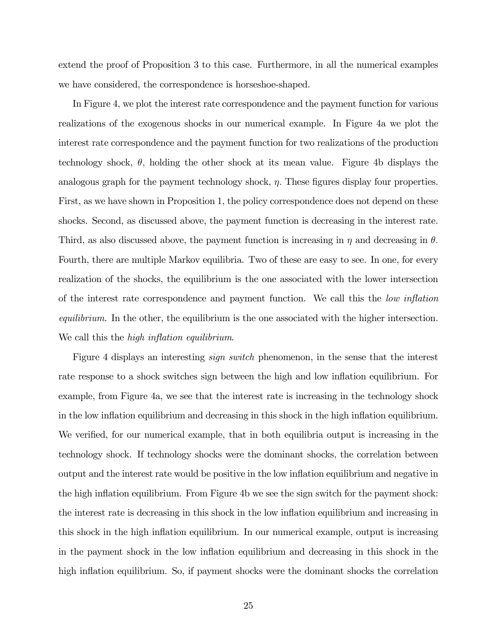extend the proof of Proposition 3 to this case. Furthermore, in all the numerical examples we have considered, the correspondence is horseshoe-shaped.

In Figure 4, we plot the interest rate correspondence and the payment function for various realizations of the exogenous shocks in our numerical example. In Figure 4a we plot the interest rate correspondence and the payment function for two realizations of the production technology shock,  $\theta$ , holding the other shock at its mean value. Figure 4b displays the analogous graph for the payment technology shock,  $\eta$ . These figures display four properties. First, as we have shown in Proposition 1, the policy correspondence does not depend on these shocks. Second, as discussed above, the payment function is decreasing in the interest rate. Third, as also discussed above, the payment function is increasing in  $\eta$  and decreasing in  $\theta$ . Fourth, there are multiple Markov equilibria. Two of these are easy to see. In one, for every realization of the shocks, the equilibrium is the one associated with the lower intersection of the interest rate correspondence and payment function. We call this the *low inflation* equilibrium. In the other, the equilibrium is the one associated with the higher intersection. We call this the *high inflation equilibrium*.

Figure 4 displays an interesting *sign switch* phenomenon, in the sense that the interest rate response to a shock switches sign between the high and low inflation equilibrium. For example, from Figure 4a, we see that the interest rate is increasing in the technology shock in the low inflation equilibrium and decreasing in this shock in the high inflation equilibrium. We verified, for our numerical example, that in both equilibria output is increasing in the technology shock. If technology shocks were the dominant shocks, the correlation between output and the interest rate would be positive in the low inflation equilibrium and negative in the high inflation equilibrium. From Figure 4b we see the sign switch for the payment shock: the interest rate is decreasing in this shock in the low inflation equilibrium and increasing in this shock in the high inflation equilibrium. In our numerical example, output is increasing in the payment shock in the low inflation equilibrium and decreasing in this shock in the high inflation equilibrium. So, if payment shocks were the dominant shocks the correlation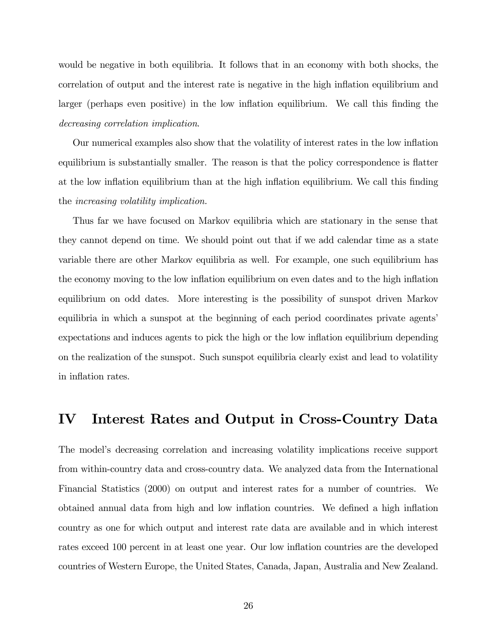would be negative in both equilibria. It follows that in an economy with both shocks, the correlation of output and the interest rate is negative in the high inflation equilibrium and larger (perhaps even positive) in the low inflation equilibrium. We call this finding the decreasing correlation implication.

Our numerical examples also show that the volatility of interest rates in the low inflation equilibrium is substantially smaller. The reason is that the policy correspondence is flatter at the low inflation equilibrium than at the high inflation equilibrium. We call this finding the increasing volatility implication.

Thus far we have focused on Markov equilibria which are stationary in the sense that they cannot depend on time. We should point out that if we add calendar time as a state variable there are other Markov equilibria as well. For example, one such equilibrium has the economy moving to the low inflation equilibrium on even dates and to the high inflation equilibrium on odd dates. More interesting is the possibility of sunspot driven Markov equilibria in which a sunspot at the beginning of each period coordinates private agents' expectations and induces agents to pick the high or the low inflation equilibrium depending on the realization of the sunspot. Such sunspot equilibria clearly exist and lead to volatility in inflation rates.

#### IV Interest Rates and Output in Cross-Country Data

The model's decreasing correlation and increasing volatility implications receive support from within-country data and cross-country data. We analyzed data from the International Financial Statistics (2000) on output and interest rates for a number of countries. We obtained annual data from high and low inflation countries. We defined a high inflation country as one for which output and interest rate data are available and in which interest rates exceed 100 percent in at least one year. Our low inflation countries are the developed countries of Western Europe, the United States, Canada, Japan, Australia and New Zealand.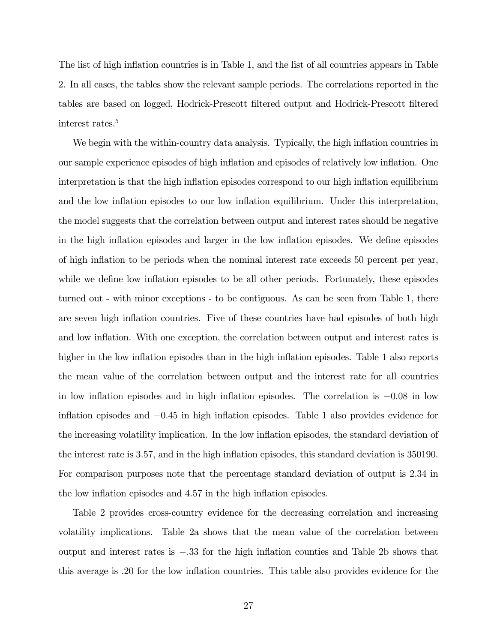The list of high inflation countries is in Table 1, and the list of all countries appears in Table 2. In all cases, the tables show the relevant sample periods. The correlations reported in the tables are based on logged, Hodrick-Prescott filtered output and Hodrick-Prescott filtered interest rates.<sup>5</sup>

We begin with the within-country data analysis. Typically, the high inflation countries in our sample experience episodes of high inflation and episodes of relatively low inflation. One interpretation is that the high inflation episodes correspond to our high inflation equilibrium and the low inflation episodes to our low inflation equilibrium. Under this interpretation, the model suggests that the correlation between output and interest rates should be negative in the high inflation episodes and larger in the low inflation episodes. We define episodes of high inflation to be periods when the nominal interest rate exceeds 50 percent per year, while we define low inflation episodes to be all other periods. Fortunately, these episodes turned out - with minor exceptions - to be contiguous. As can be seen from Table 1, there are seven high inflation countries. Five of these countries have had episodes of both high and low inflation. With one exception, the correlation between output and interest rates is higher in the low inflation episodes than in the high inflation episodes. Table 1 also reports the mean value of the correlation between output and the interest rate for all countries in low inflation episodes and in high inflation episodes. The correlation is −0.08 in low inflation episodes and −0.45 in high inflation episodes. Table 1 also provides evidence for the increasing volatility implication. In the low inflation episodes, the standard deviation of the interest rate is 3.57, and in the high inflation episodes, this standard deviation is 350190. For comparison purposes note that the percentage standard deviation of output is 2.34 in the low inflation episodes and 4.57 in the high inflation episodes.

Table 2 provides cross-country evidence for the decreasing correlation and increasing volatility implications. Table 2a shows that the mean value of the correlation between output and interest rates is −.33 for the high inflation counties and Table 2b shows that this average is .20 for the low inflation countries. This table also provides evidence for the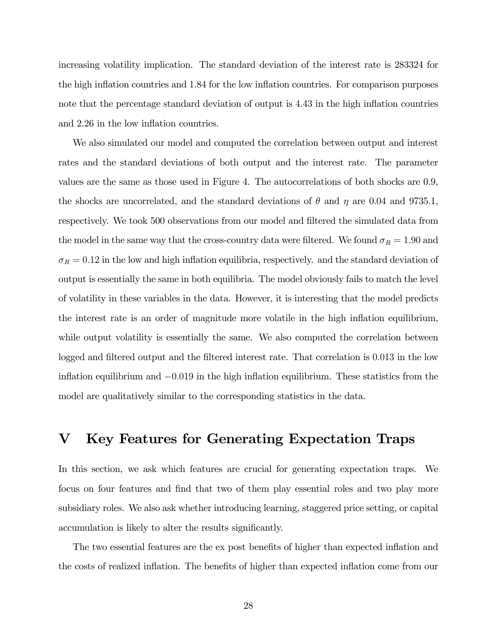increasing volatility implication. The standard deviation of the interest rate is 283324 for the high inflation countries and 1.84 for the low inflation countries. For comparison purposes note that the percentage standard deviation of output is 4.43 in the high inflation countries and 2.26 in the low inflation countries.

We also simulated our model and computed the correlation between output and interest rates and the standard deviations of both output and the interest rate. The parameter values are the same as those used in Figure 4. The autocorrelations of both shocks are 0.9, the shocks are uncorrelated, and the standard deviations of  $\theta$  and  $\eta$  are 0.04 and 9735.1, respectively. We took 500 observations from our model and filtered the simulated data from the model in the same way that the cross-country data were filtered. We found  $\sigma_R = 1.90$  and  $\sigma_R = 0.12$  in the low and high inflation equilibria, respectively. and the standard deviation of output is essentially the same in both equilibria. The model obviously fails to match the level of volatility in these variables in the data. However, it is interesting that the model predicts the interest rate is an order of magnitude more volatile in the high inflation equilibrium, while output volatility is essentially the same. We also computed the correlation between logged and filtered output and the filtered interest rate. That correlation is 0.013 in the low inflation equilibrium and −0.019 in the high inflation equilibrium. These statistics from the model are qualitatively similar to the corresponding statistics in the data.

# V Key Features for Generating Expectation Traps

In this section, we ask which features are crucial for generating expectation traps. We focus on four features and find that two of them play essential roles and two play more subsidiary roles. We also ask whether introducing learning, staggered price setting, or capital accumulation is likely to alter the results significantly.

The two essential features are the ex post benefits of higher than expected inflation and the costs of realized inflation. The benefits of higher than expected inflation come from our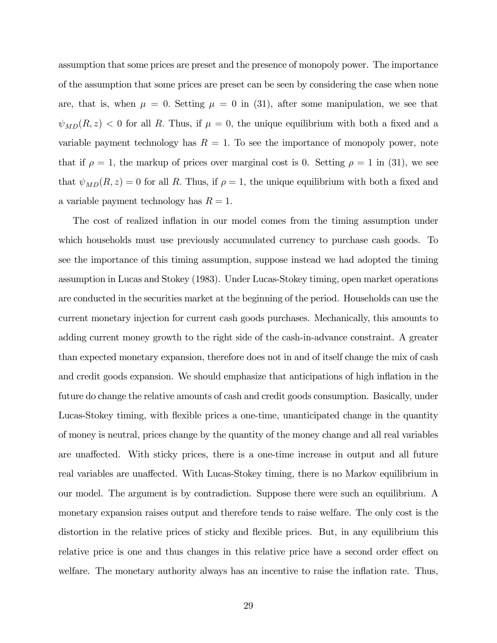assumption that some prices are preset and the presence of monopoly power. The importance of the assumption that some prices are preset can be seen by considering the case when none are, that is, when  $\mu = 0$ . Setting  $\mu = 0$  in (31), after some manipulation, we see that  $\psi_{MD}(R, z)$  < 0 for all R. Thus, if  $\mu = 0$ , the unique equilibrium with both a fixed and a variable payment technology has  $R = 1$ . To see the importance of monopoly power, note that if  $\rho = 1$ , the markup of prices over marginal cost is 0. Setting  $\rho = 1$  in (31), we see that  $\psi_{MD}(R, z)=0$  for all R. Thus, if  $\rho = 1$ , the unique equilibrium with both a fixed and a variable payment technology has  $R = 1$ .

The cost of realized inflation in our model comes from the timing assumption under which households must use previously accumulated currency to purchase cash goods. To see the importance of this timing assumption, suppose instead we had adopted the timing assumption in Lucas and Stokey (1983). Under Lucas-Stokey timing, open market operations are conducted in the securities market at the beginning of the period. Households can use the current monetary injection for current cash goods purchases. Mechanically, this amounts to adding current money growth to the right side of the cash-in-advance constraint. A greater than expected monetary expansion, therefore does not in and of itself change the mix of cash and credit goods expansion. We should emphasize that anticipations of high inflation in the future do change the relative amounts of cash and credit goods consumption. Basically, under Lucas-Stokey timing, with flexible prices a one-time, unanticipated change in the quantity of money is neutral, prices change by the quantity of the money change and all real variables are unaffected. With sticky prices, there is a one-time increase in output and all future real variables are unaffected. With Lucas-Stokey timing, there is no Markov equilibrium in our model. The argument is by contradiction. Suppose there were such an equilibrium. A monetary expansion raises output and therefore tends to raise welfare. The only cost is the distortion in the relative prices of sticky and flexible prices. But, in any equilibrium this relative price is one and thus changes in this relative price have a second order effect on welfare. The monetary authority always has an incentive to raise the inflation rate. Thus,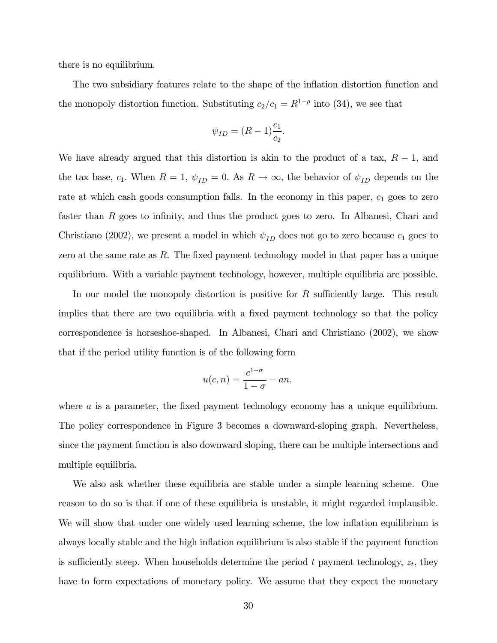there is no equilibrium.

The two subsidiary features relate to the shape of the inflation distortion function and the monopoly distortion function. Substituting  $c_2/c_1 = R^{1-\rho}$  into (34), we see that

$$
\psi_{ID} = (R-1)\frac{c_1}{c_2}.
$$

We have already argued that this distortion is akin to the product of a tax,  $R-1$ , and the tax base,  $c_1$ . When  $R = 1$ ,  $\psi_{ID} = 0$ . As  $R \to \infty$ , the behavior of  $\psi_{ID}$  depends on the rate at which cash goods consumption falls. In the economy in this paper,  $c_1$  goes to zero faster than R goes to infinity, and thus the product goes to zero. In Albanesi, Chari and Christiano (2002), we present a model in which  $\psi_{ID}$  does not go to zero because  $c_1$  goes to zero at the same rate as  $R$ . The fixed payment technology model in that paper has a unique equilibrium. With a variable payment technology, however, multiple equilibria are possible.

In our model the monopoly distortion is positive for R sufficiently large. This result implies that there are two equilibria with a fixed payment technology so that the policy correspondence is horseshoe-shaped. In Albanesi, Chari and Christiano (2002), we show that if the period utility function is of the following form

$$
u(c,n) = \frac{c^{1-\sigma}}{1-\sigma} - an,
$$

where a is a parameter, the fixed payment technology economy has a unique equilibrium. The policy correspondence in Figure 3 becomes a downward-sloping graph. Nevertheless, since the payment function is also downward sloping, there can be multiple intersections and multiple equilibria.

We also ask whether these equilibria are stable under a simple learning scheme. One reason to do so is that if one of these equilibria is unstable, it might regarded implausible. We will show that under one widely used learning scheme, the low inflation equilibrium is always locally stable and the high inflation equilibrium is also stable if the payment function is sufficiently steep. When households determine the period t payment technology,  $z_t$ , they have to form expectations of monetary policy. We assume that they expect the monetary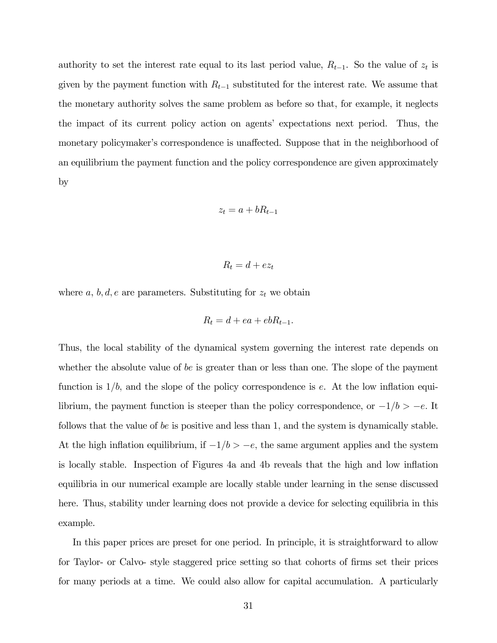authority to set the interest rate equal to its last period value,  $R_{t-1}$ . So the value of  $z_t$  is given by the payment function with  $R_{t-1}$  substituted for the interest rate. We assume that the monetary authority solves the same problem as before so that, for example, it neglects the impact of its current policy action on agents' expectations next period. Thus, the monetary policymaker's correspondence is unaffected. Suppose that in the neighborhood of an equilibrium the payment function and the policy correspondence are given approximately by

$$
z_t = a + bR_{t-1}
$$

$$
R_t = d + e z_t
$$

where  $a, b, d, e$  are parameters. Substituting for  $z_t$  we obtain

$$
R_t = d + ea + ebR_{t-1}.
$$

Thus, the local stability of the dynamical system governing the interest rate depends on whether the absolute value of be is greater than or less than one. The slope of the payment function is  $1/b$ , and the slope of the policy correspondence is e. At the low inflation equilibrium, the payment function is steeper than the policy correspondence, or  $-1/b > -e$ . It follows that the value of be is positive and less than 1, and the system is dynamically stable. At the high inflation equilibrium, if  $-1/b > -e$ , the same argument applies and the system is locally stable. Inspection of Figures 4a and 4b reveals that the high and low inflation equilibria in our numerical example are locally stable under learning in the sense discussed here. Thus, stability under learning does not provide a device for selecting equilibria in this example.

In this paper prices are preset for one period. In principle, it is straightforward to allow for Taylor- or Calvo- style staggered price setting so that cohorts of firms set their prices for many periods at a time. We could also allow for capital accumulation. A particularly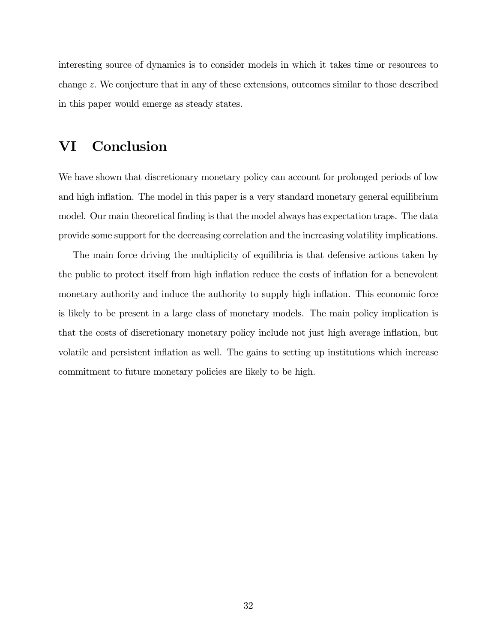interesting source of dynamics is to consider models in which it takes time or resources to change z. We conjecture that in any of these extensions, outcomes similar to those described in this paper would emerge as steady states.

## VI Conclusion

We have shown that discretionary monetary policy can account for prolonged periods of low and high inflation. The model in this paper is a very standard monetary general equilibrium model. Our main theoretical finding is that the model always has expectation traps. The data provide some support for the decreasing correlation and the increasing volatility implications.

The main force driving the multiplicity of equilibria is that defensive actions taken by the public to protect itself from high inflation reduce the costs of inflation for a benevolent monetary authority and induce the authority to supply high inflation. This economic force is likely to be present in a large class of monetary models. The main policy implication is that the costs of discretionary monetary policy include not just high average inflation, but volatile and persistent inflation as well. The gains to setting up institutions which increase commitment to future monetary policies are likely to be high.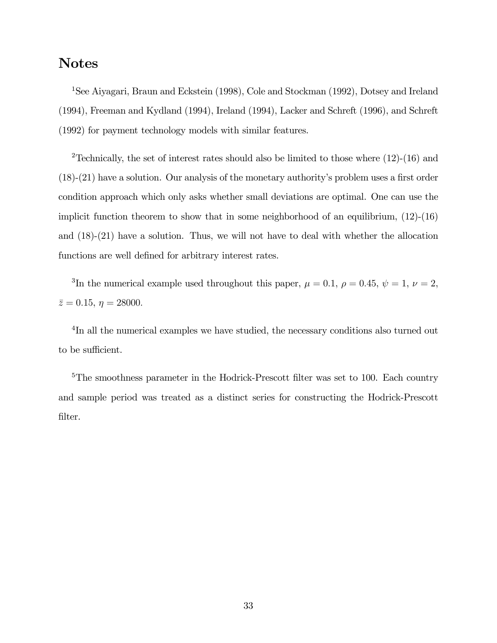#### Notes

<sup>1</sup>See Aiyagari, Braun and Eckstein (1998), Cole and Stockman (1992), Dotsey and Ireland (1994), Freeman and Kydland (1994), Ireland (1994), Lacker and Schreft (1996), and Schreft (1992) for payment technology models with similar features.

<sup>2</sup>Technically, the set of interest rates should also be limited to those where  $(12)-(16)$  and (18)-(21) have a solution. Our analysis of the monetary authority's problem uses a first order condition approach which only asks whether small deviations are optimal. One can use the implicit function theorem to show that in some neighborhood of an equilibrium,  $(12)-(16)$ and (18)-(21) have a solution. Thus, we will not have to deal with whether the allocation functions are well defined for arbitrary interest rates.

<sup>3</sup>In the numerical example used throughout this paper,  $\mu = 0.1$ ,  $\rho = 0.45$ ,  $\psi = 1$ ,  $\nu = 2$ ,  $\bar{z}=0.15, \eta=28000.$ 

<sup>4</sup>In all the numerical examples we have studied, the necessary conditions also turned out to be sufficient.

<sup>5</sup>The smoothness parameter in the Hodrick-Prescott filter was set to 100. Each country and sample period was treated as a distinct series for constructing the Hodrick-Prescott filter.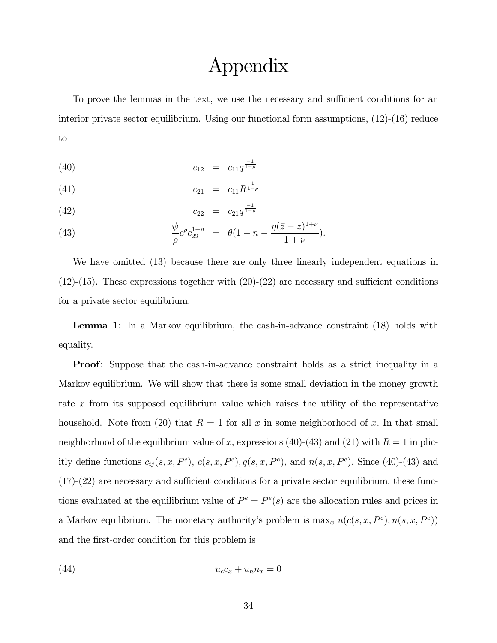# Appendix

To prove the lemmas in the text, we use the necessary and sufficient conditions for an interior private sector equilibrium. Using our functional form assumptions, (12)-(16) reduce to

$$
(40) \t\t\t c_{12} = c_{11}q^{\frac{-1}{1-\rho}}
$$

(41) 
$$
c_{21} = c_{11} R^{\frac{1}{1-\rho}}
$$

$$
(42) \t\t\t c_{22} = c_{21}q^{\frac{-1}{1-\rho}}
$$

(43) 
$$
\frac{\psi}{\rho} c^{\rho} c_{22}^{1-\rho} = \theta (1 - n - \frac{\eta(\bar{z} - z)^{1+\nu}}{1+\nu}).
$$

We have omitted (13) because there are only three linearly independent equations in  $(12)-(15)$ . These expressions together with  $(20)-(22)$  are necessary and sufficient conditions for a private sector equilibrium.

Lemma 1: In a Markov equilibrium, the cash-in-advance constraint (18) holds with equality.

Proof: Suppose that the cash-in-advance constraint holds as a strict inequality in a Markov equilibrium. We will show that there is some small deviation in the money growth rate x from its supposed equilibrium value which raises the utility of the representative household. Note from (20) that  $R = 1$  for all x in some neighborhood of x. In that small neighborhood of the equilibrium value of x, expressions (40)-(43) and (21) with  $R = 1$  implicitly define functions  $c_{ij}(s, x, P^e)$ ,  $c(s, x, P^e)$ ,  $q(s, x, P^e)$ , and  $n(s, x, P^e)$ . Since (40)-(43) and (17)-(22) are necessary and sufficient conditions for a private sector equilibrium, these functions evaluated at the equilibrium value of  $P^e = P^e(s)$  are the allocation rules and prices in a Markov equilibrium. The monetary authority's problem is  $\max_x u(c(s, x, P^e), n(s, x, P^e))$ and the first-order condition for this problem is

$$
(44) \t\t\t u_c c_x + u_n n_x = 0
$$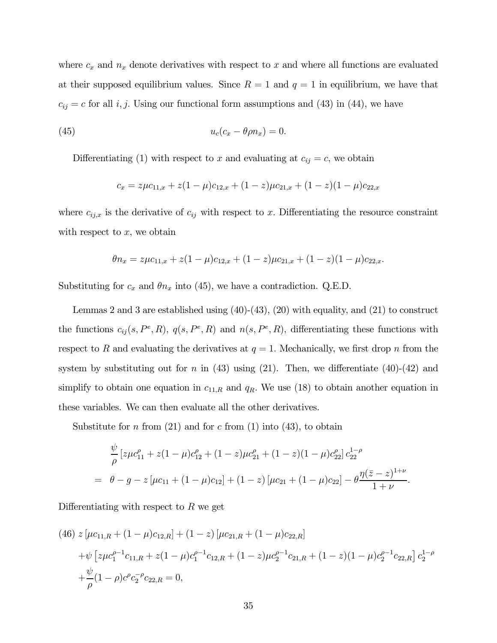where  $c_x$  and  $n_x$  denote derivatives with respect to x and where all functions are evaluated at their supposed equilibrium values. Since  $R = 1$  and  $q = 1$  in equilibrium, we have that  $c_{ij} = c$  for all i, j. Using our functional form assumptions and (43) in (44), we have

(45) 
$$
u_c(c_x - \theta \rho n_x) = 0.
$$

Differentiating (1) with respect to x and evaluating at  $c_{ij} = c$ , we obtain

$$
c_x = z\mu c_{11,x} + z(1-\mu)c_{12,x} + (1-z)\mu c_{21,x} + (1-z)(1-\mu)c_{22,x}
$$

where  $c_{ij,x}$  is the derivative of  $c_{ij}$  with respect to x. Differentiating the resource constraint with respect to  $x$ , we obtain

$$
\theta n_x = z\mu c_{11,x} + z(1-\mu)c_{12,x} + (1-z)\mu c_{21,x} + (1-z)(1-\mu)c_{22,x}.
$$

Substituting for  $c_x$  and  $\theta n_x$  into (45), we have a contradiction. Q.E.D.

Lemmas 2 and 3 are established using  $(40)-(43)$ ,  $(20)$  with equality, and  $(21)$  to construct the functions  $c_{ij}(s, P^e, R)$ ,  $q(s, P^e, R)$  and  $n(s, P^e, R)$ , differentiating these functions with respect to R and evaluating the derivatives at  $q = 1$ . Mechanically, we first drop n from the system by substituting out for n in (43) using (21). Then, we differentiate (40)-(42) and simplify to obtain one equation in  $c_{11,R}$  and  $q_R$ . We use (18) to obtain another equation in these variables. We can then evaluate all the other derivatives.

Substitute for *n* from  $(21)$  and for *c* from  $(1)$  into  $(43)$ , to obtain

$$
\frac{\psi}{\rho} \left[ z\mu c_{11}^{\rho} + z(1-\mu)c_{12}^{\rho} + (1-z)\mu c_{21}^{\rho} + (1-z)(1-\mu)c_{22}^{\rho} \right] c_{22}^{1-\rho}
$$
\n
$$
= \theta - g - z \left[ \mu c_{11} + (1-\mu)c_{12} \right] + (1-z) \left[ \mu c_{21} + (1-\mu)c_{22} \right] - \theta \frac{\eta(\bar{z}-z)^{1+\nu}}{1+\nu}.
$$

Differentiating with respect to  $R$  we get

(46) 
$$
z \left[ \mu c_{11,R} + (1 - \mu) c_{12,R} \right] + (1 - z) \left[ \mu c_{21,R} + (1 - \mu) c_{22,R} \right]
$$
  
  $+ \psi \left[ z \mu c_1^{\rho - 1} c_{11,R} + z (1 - \mu) c_1^{\rho - 1} c_{12,R} + (1 - z) \mu c_2^{\rho - 1} c_{21,R} + (1 - z) (1 - \mu) c_2^{\rho - 1} c_{22,R} \right] c_2^{1 - \rho}$   
  $+ \frac{\psi}{\rho} (1 - \rho) c^{\rho} c_2^{-\rho} c_{22,R} = 0,$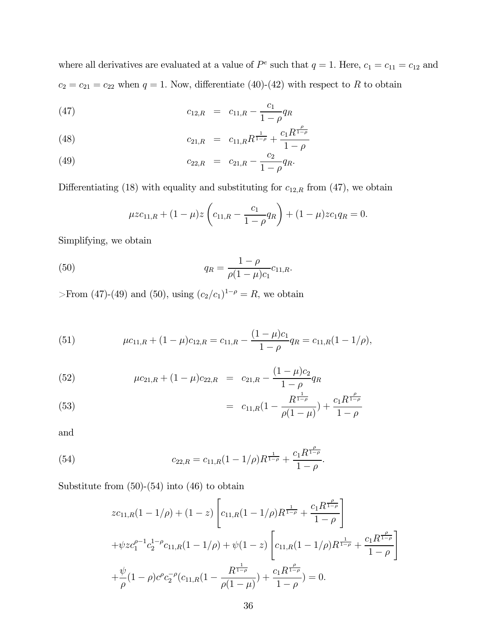where all derivatives are evaluated at a value of  $P^e$  such that  $q = 1$ . Here,  $c_1 = c_{11} = c_{12}$  and  $c_2 = c_{21} = c_{22}$  when  $q = 1$ . Now, differentiate (40)-(42) with respect to R to obtain

(47) 
$$
c_{12,R} = c_{11,R} - \frac{c_1}{1-\rho} q_R
$$

(48) 
$$
c_{21,R} = c_{11,R} R^{\frac{1}{1-\rho}} + \frac{c_1 R^{\frac{\rho}{1-\rho}}}{1-\rho}
$$

(49) 
$$
c_{22,R} = c_{21,R} - \frac{c_2}{1-\rho} q_R.
$$

Differentiating (18) with equality and substituting for  $c_{12,R}$  from (47), we obtain

$$
\mu z c_{11,R} + (1 - \mu) z \left( c_{11,R} - \frac{c_1}{1 - \rho} q_R \right) + (1 - \mu) z c_1 q_R = 0.
$$

Simplifying, we obtain

(50) 
$$
q_R = \frac{1 - \rho}{\rho (1 - \mu) c_1} c_{11,R}.
$$

>From (47)-(49) and (50), using  $(c_2/c_1)^{1-\rho} = R$ , we obtain

(51) 
$$
\mu c_{11,R} + (1 - \mu)c_{12,R} = c_{11,R} - \frac{(1 - \mu)c_1}{1 - \rho} q_R = c_{11,R} (1 - 1/\rho),
$$

(52) 
$$
\mu c_{21,R} + (1 - \mu)c_{22,R} = c_{21,R} - \frac{(1 - \mu)c_2}{1 - \rho}q_R
$$

(53) 
$$
= c_{11,R}(1 - \frac{R^{\frac{1}{1-\rho}}}{\rho(1-\mu)}) + \frac{c_1 R^{\frac{\rho}{1-\rho}}}{1-\rho}
$$

and

(54) 
$$
c_{22,R} = c_{11,R} (1 - 1/\rho) R^{\frac{1}{1-\rho}} + \frac{c_1 R^{\frac{\rho}{1-\rho}}}{1-\rho}.
$$

Substitute from  $(50)-(54)$  into  $(46)$  to obtain

$$
zc_{11,R}(1 - 1/\rho) + (1 - z) \left[ c_{11,R}(1 - 1/\rho) R^{\frac{1}{1 - \rho}} + \frac{c_1 R^{\frac{\rho}{1 - \rho}}}{1 - \rho} \right]
$$
  
+
$$
\psi z c_1^{\rho - 1} c_2^{1 - \rho} c_{11,R}(1 - 1/\rho) + \psi(1 - z) \left[ c_{11,R}(1 - 1/\rho) R^{\frac{1}{1 - \rho}} + \frac{c_1 R^{\frac{\rho}{1 - \rho}}}{1 - \rho} \right]
$$
  
+
$$
\frac{\psi}{\rho} (1 - \rho) c^{\rho} c_2^{-\rho} (c_{11,R}(1 - \frac{R^{\frac{1}{1 - \rho}}}{\rho(1 - \mu)}) + \frac{c_1 R^{\frac{\rho}{1 - \rho}}}{1 - \rho}) = 0.
$$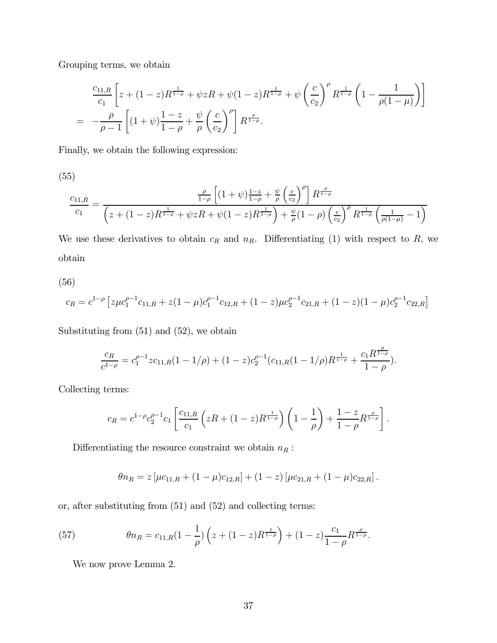Grouping terms, we obtain

$$
\frac{c_{11,R}}{c_1} \left[ z + (1-z)R^{\frac{1}{1-\rho}} + \psi zR + \psi(1-z)R^{\frac{1}{1-\rho}} + \psi \left(\frac{c}{c_2}\right)^{\rho} R^{\frac{1}{1-\rho}} \left( 1 - \frac{1}{\rho(1-\mu)} \right) \right]
$$
\n
$$
= -\frac{\rho}{\rho-1} \left[ (1+\psi)\frac{1-z}{1-\rho} + \frac{\psi}{\rho} \left(\frac{c}{c_2}\right)^{\rho} \right] R^{\frac{\rho}{1-\rho}}.
$$

Finally, we obtain the following expression:

(55)

$$
\frac{c_{11,R}}{c_1} = \frac{\frac{\rho}{1-\rho} \left[ (1+\psi) \frac{1-z}{1-\rho} + \frac{\psi}{\rho} \left( \frac{c}{c_2} \right)^{\rho} \right] R^{\frac{\rho}{1-\rho}}}{\left( z + (1-z)R^{\frac{1}{1-\rho}} + \psi zR + \psi (1-z)R^{\frac{1}{1-\rho}} \right) + \frac{\psi}{\rho} (1-\rho) \left( \frac{c}{c_2} \right)^{\rho} R^{\frac{1}{1-\rho}} \left( \frac{1}{\rho(1-\mu)} - 1 \right)}
$$

We use these derivatives to obtain  $c_R$  and  $n_R$ . Differentiating (1) with respect to R, we obtain

(56)

$$
c_R = c^{1-\rho} \left[ z \mu c_1^{\rho-1} c_{11,R} + z (1-\mu) c_1^{\rho-1} c_{12,R} + (1-z) \mu c_2^{\rho-1} c_{21,R} + (1-z)(1-\mu) c_2^{\rho-1} c_{22,R} \right]
$$

Substituting from  $(51)$  and  $(52)$ , we obtain

$$
\frac{c_R}{c^{1-\rho}} = c_1^{\rho-1} z c_{11,R} (1 - 1/\rho) + (1 - z) c_2^{\rho-1} (c_{11,R} (1 - 1/\rho) R^{\frac{1}{1-\rho}} + \frac{c_1 R^{\frac{\rho}{1-\rho}}}{1-\rho}).
$$

Collecting terms:

$$
c_R = c^{1-\rho} c_2^{\rho-1} c_1 \left[ \frac{c_{11,R}}{c_1} \left( zR + (1-z)R^{\frac{1}{1-\rho}} \right) \left( 1 - \frac{1}{\rho} \right) + \frac{1-z}{1-\rho} R^{\frac{\rho}{1-\rho}} \right].
$$

Differentiating the resource constraint we obtain  $n_{\cal R}$  :

$$
\theta n_R = z \left[ \mu c_{11,R} + (1 - \mu) c_{12,R} \right] + (1 - z) \left[ \mu c_{21,R} + (1 - \mu) c_{22,R} \right].
$$

or, after substituting from (51) and (52) and collecting terms:

(57) 
$$
\theta n_R = c_{11,R} (1 - \frac{1}{\rho}) \left( z + (1 - z) R^{\frac{1}{1 - \rho}} \right) + (1 - z) \frac{c_1}{1 - \rho} R^{\frac{\rho}{1 - \rho}}.
$$

We now prove Lemma 2.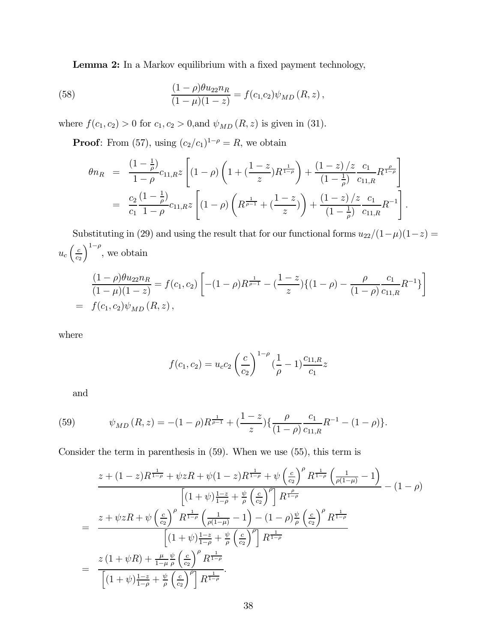Lemma 2: In a Markov equilibrium with a fixed payment technology,

(58) 
$$
\frac{(1-\rho)\theta u_{22}n_R}{(1-\mu)(1-z)} = f(c_{1,c_2})\psi_{MD}(R,z),
$$

where  $f(c_1, c_2) > 0$  for  $c_1, c_2 > 0$ , and  $\psi_{MD}(R, z)$  is given in (31).

**Proof:** From (57), using  $(c_2/c_1)^{1-\rho} = R$ , we obtain

$$
\theta n_R = \frac{(1-\frac{1}{\rho})}{1-\rho} c_{11,R} z \left[ (1-\rho) \left( 1 + (\frac{1-z}{z}) R^{\frac{1}{1-\rho}} \right) + \frac{(1-z)/z}{(1-\frac{1}{\rho})} \frac{c_1}{c_{11,R}} R^{\frac{\rho}{1-\rho}} \right]
$$
  
= 
$$
\frac{c_2}{c_1} \frac{(1-\frac{1}{\rho})}{1-\rho} c_{11,R} z \left[ (1-\rho) \left( R^{\frac{1}{\rho-1}} + (\frac{1-z}{z}) \right) + \frac{(1-z)/z}{(1-\frac{1}{\rho})} \frac{c_1}{c_{11,R}} R^{-1} \right].
$$

Substituting in (29) and using the result that for our functional forms  $u_{22}/(1-\mu)(1-z) =$  $u_c\left(\frac{c}{c}\right)$  $\overline{c_2}$  $\int_{1-\rho}^{1-\rho}$ , we obtain  $(1-\rho)\theta u_{22}n_R$  $\frac{(1-\mu)(1-z)}{(1-\mu)(1-z)} = f(c_1, c_2)$  $\left[ -(1 - \rho) R^{\frac{1}{\rho - 1}} - (1 - \rho) R^{\frac{1}{\rho - 1}} \right]$  $\frac{1-z}{z}$  $\left(1-\rho\right) - \frac{\rho}{(1-\rho)}$  $c_1$  $c_{11,R}$  $R^{-1}$ } ¸  $= f(c_1, c_2) \psi_{MD}(R, z),$ 

where

$$
f(c_1, c_2) = u_c c_2 \left(\frac{c}{c_2}\right)^{1-\rho} \left(\frac{1}{\rho} - 1\right) \frac{c_{11,R}}{c_1} z
$$

and

(59) 
$$
\psi_{MD}(R, z) = -(1 - \rho)R^{\frac{1}{\rho - 1}} + \left(\frac{1 - z}{z}\right)\left\{\frac{\rho}{(1 - \rho)}\frac{c_1}{c_{11,R}}R^{-1} - (1 - \rho)\right\}.
$$

Consider the term in parenthesis in (59). When we use (55), this term is

$$
\frac{z + (1 - z)R^{\frac{1}{1 - \rho}} + \psi z R + \psi (1 - z)R^{\frac{1}{1 - \rho}} + \psi \left(\frac{c}{c_2}\right)^{\rho} R^{\frac{1}{1 - \rho}} \left(\frac{1}{\rho(1 - \mu)} - 1\right)}{\left[(1 + \psi)\frac{1 - z}{1 - \rho} + \frac{\psi}{\rho} \left(\frac{c}{c_2}\right)^{\rho}\right] R^{\frac{\rho}{1 - \rho}}} = \frac{z + \psi z R + \psi \left(\frac{c}{c_2}\right)^{\rho} R^{\frac{1}{1 - \rho}} \left(\frac{1}{\rho(1 - \mu)} - 1\right) - (1 - \rho)\frac{\psi}{\rho} \left(\frac{c}{c_2}\right)^{\rho} R^{\frac{1}{1 - \rho}}}{\left[(1 + \psi)\frac{1 - z}{1 - \rho} + \frac{\psi}{\rho} \left(\frac{c}{c_2}\right)^{\rho}\right] R^{\frac{1}{1 - \rho}}}
$$
  
= 
$$
\frac{z (1 + \psi R) + \frac{\mu}{1 - \mu} \frac{\psi}{\rho} \left(\frac{c}{c_2}\right)^{\rho} R^{\frac{1}{1 - \rho}}}{\left[(1 + \psi)\frac{1 - z}{1 - \rho} + \frac{\psi}{\rho} \left(\frac{c}{c_2}\right)^{\rho}\right] R^{\frac{1}{1 - \rho}}}.
$$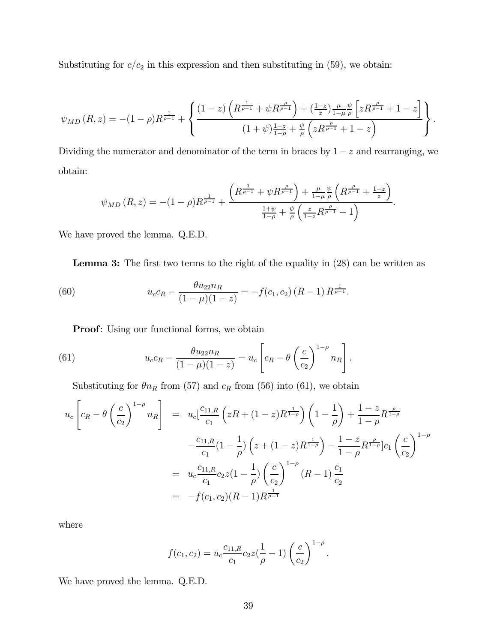Substituting for  $c/c_2$  in this expression and then substituting in (59), we obtain:

$$
\psi_{MD}(R,z) = -(1-\rho)R^{\frac{1}{\rho-1}} + \left\{ \frac{(1-z)\left(R^{\frac{1}{\rho-1}} + \psi R^{\frac{\rho}{\rho-1}}\right) + \left(\frac{1-z}{z}\right)\frac{\mu}{1-\mu}\frac{\psi}{\rho}\left[zR^{\frac{\rho}{\rho-1}} + 1 - z\right]}{(1+\psi)\frac{1-z}{1-\rho} + \frac{\psi}{\rho}\left(zR^{\frac{\rho}{\rho-1}} + 1 - z\right)}\right\}.
$$

Dividing the numerator and denominator of the term in braces by  $1-z$  and rearranging, we obtain:

$$
\psi_{MD}(R, z) = -(1 - \rho)R^{\frac{1}{\rho - 1}} + \frac{\left(R^{\frac{1}{\rho - 1}} + \psi R^{\frac{\rho}{\rho - 1}}\right) + \frac{\mu}{1 - \mu} \frac{\psi}{\rho} \left(R^{\frac{\rho}{\rho - 1}} + \frac{1 - z}{z}\right)}{\frac{1 + \psi}{1 - \rho} + \frac{\psi}{\rho} \left(\frac{z}{1 - z} R^{\frac{\rho}{\rho - 1}} + 1\right)}.
$$

We have proved the lemma. Q.E.D.

Lemma 3: The first two terms to the right of the equality in (28) can be written as

(60) 
$$
u_c c_R - \frac{\theta u_{22} n_R}{(1-\mu)(1-z)} = -f(c_1, c_2) (R-1) R^{\frac{1}{\rho-1}}.
$$

Proof: Using our functional forms, we obtain

(61) 
$$
u_c c_R - \frac{\theta u_{22} n_R}{(1 - \mu)(1 - z)} = u_c \left[ c_R - \theta \left( \frac{c}{c_2} \right)^{1 - \rho} n_R \right].
$$

Substituting for  $\theta n_R$  from (57) and  $c_R$  from (56) into (61), we obtain

$$
u_c \left[ c_R - \theta \left( \frac{c}{c_2} \right)^{1-\rho} n_R \right] = u_c \left[ \frac{c_{11,R}}{c_1} \left( zR + (1-z)R^{\frac{1}{1-\rho}} \right) \left( 1 - \frac{1}{\rho} \right) + \frac{1-z}{1-\rho} R^{\frac{\rho}{1-\rho}} \right]
$$
  

$$
- \frac{c_{11,R}}{c_1} (1 - \frac{1}{\rho}) \left( z + (1-z)R^{\frac{1}{1-\rho}} \right) - \frac{1-z}{1-\rho} R^{\frac{\rho}{1-\rho}} c_1 \left( \frac{c}{c_2} \right)^{1-\rho}
$$
  

$$
= u_c \frac{c_{11,R}}{c_1} c_2 z (1 - \frac{1}{\rho}) \left( \frac{c}{c_2} \right)^{1-\rho} (R - 1) \frac{c_1}{c_2}
$$
  

$$
= -f(c_1, c_2)(R - 1) R^{\frac{1}{\rho - 1}}
$$

where

$$
f(c_1, c_2) = u_c \frac{c_{11,R}}{c_1} c_2 z(\frac{1}{\rho} - 1) \left(\frac{c}{c_2}\right)^{1-\rho}.
$$

We have proved the lemma. Q.E.D.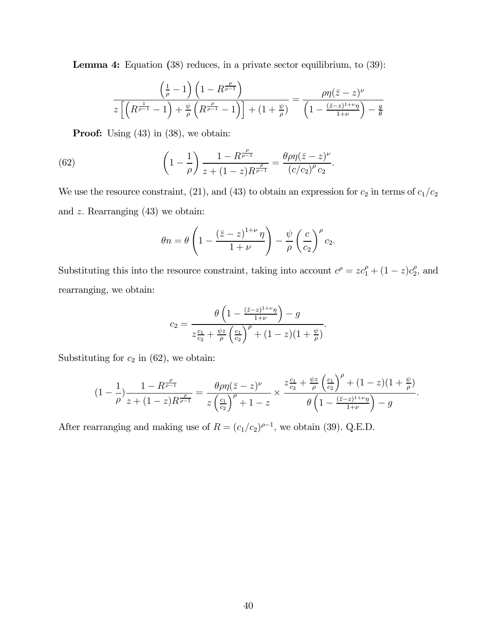Lemma 4: Equation (38) reduces, in a private sector equilibrium, to (39):

$$
\frac{\left(\frac{1}{\rho}-1\right)\left(1-R^{\frac{\rho}{\rho-1}}\right)}{z\left[\left(R^{\frac{1}{\rho-1}}-1\right)+\frac{\psi}{\rho}\left(R^{\frac{\rho}{\rho-1}}-1\right)\right]+\left(1+\frac{\psi}{\rho}\right)}=\frac{\rho\eta(\bar{z}-z)^{\nu}}{\left(1-\frac{(\bar{z}-z)^{1+\nu}\eta}{1+\nu}\right)-\frac{g}{\theta}}
$$

**Proof:** Using  $(43)$  in  $(38)$ , we obtain:

(62) 
$$
\left(1-\frac{1}{\rho}\right)\frac{1-R^{\frac{\rho}{\rho-1}}}{z+(1-z)R^{\frac{\rho}{\rho-1}}}=\frac{\theta\rho\eta(\bar{z}-z)^{\nu}}{(c/c_2)^{\rho}c_2}.
$$

We use the resource constraint, (21), and (43) to obtain an expression for  $c_2$  in terms of  $c_1/c_2$ and  $z$ . Rearranging  $(43)$  we obtain:

$$
\theta n = \theta \left( 1 - \frac{(\bar{z} - z)^{1+\nu} \eta}{1+\nu} \right) - \frac{\psi}{\rho} \left( \frac{c}{c_2} \right)^{\rho} c_2.
$$

Substituting this into the resource constraint, taking into account  $c^{\rho} = z c_1^{\rho} + (1 - z) c_2^{\rho}$ , and rearranging, we obtain:

$$
c_2 = \frac{\theta \left(1 - \frac{(\bar{z} - z)^{1 + \nu} \eta}{1 + \nu} \right) - g}{z \frac{c_1}{c_2} + \frac{\psi z}{\rho} \left(\frac{c_1}{c_2}\right)^{\rho} + (1 - z)(1 + \frac{\psi}{\rho})}.
$$

Substituting for  $c_2$  in (62), we obtain:

$$
(1-\frac{1}{\rho})\frac{1-R^{\frac{\rho}{\rho-1}}}{z+(1-z)R^{\frac{\rho}{\rho-1}}}=\frac{\theta\rho\eta(\bar{z}-z)^{\nu}}{z\left(\frac{c_1}{c_2}\right)^{\rho}+1-z}\times\frac{z\frac{c_1}{c_2}+\frac{\psi z}{\rho}\left(\frac{c_1}{c_2}\right)^{\rho}+(1-z)(1+\frac{\psi}{\rho})}{\theta\left(1-\frac{(\bar{z}-z)^{1+\nu}\eta}{1+\nu}\right)-g}.
$$

After rearranging and making use of  $R = (c_1/c_2)^{\rho-1}$ , we obtain (39). Q.E.D.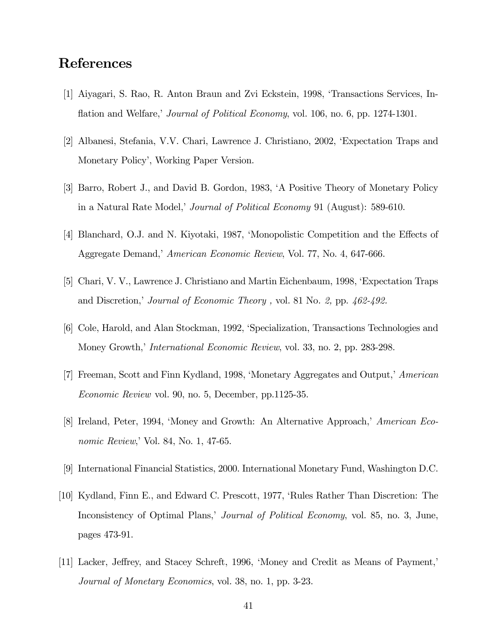# References

- [1] Aiyagari, S. Rao, R. Anton Braun and Zvi Eckstein, 1998, 'Transactions Services, Inflation and Welfare,' Journal of Political Economy, vol. 106, no. 6, pp. 1274-1301.
- [2] Albanesi, Stefania, V.V. Chari, Lawrence J. Christiano, 2002, 'Expectation Traps and Monetary Policy', Working Paper Version.
- [3] Barro, Robert J., and David B. Gordon, 1983, 'A Positive Theory of Monetary Policy in a Natural Rate Model,' Journal of Political Economy 91 (August): 589-610.
- [4] Blanchard, O.J. and N. Kiyotaki, 1987, 'Monopolistic Competition and the Effects of Aggregate Demand,' American Economic Review, Vol. 77, No. 4, 647-666.
- [5] Chari, V. V., Lawrence J. Christiano and Martin Eichenbaum, 1998, 'Expectation Traps and Discretion,' Journal of Economic Theory , vol. 81 No. 2, pp. 462-492.
- [6] Cole, Harold, and Alan Stockman, 1992, 'Specialization, Transactions Technologies and Money Growth,' International Economic Review, vol. 33, no. 2, pp. 283-298.
- [7] Freeman, Scott and Finn Kydland, 1998, 'Monetary Aggregates and Output,' American Economic Review vol. 90, no. 5, December, pp.1125-35.
- [8] Ireland, Peter, 1994, 'Money and Growth: An Alternative Approach,' American Economic Review,' Vol. 84, No. 1, 47-65.
- [9] International Financial Statistics, 2000. International Monetary Fund, Washington D.C.
- [10] Kydland, Finn E., and Edward C. Prescott, 1977, 'Rules Rather Than Discretion: The Inconsistency of Optimal Plans,' Journal of Political Economy, vol. 85, no. 3, June, pages 473-91.
- [11] Lacker, Jeffrey, and Stacey Schreft, 1996, 'Money and Credit as Means of Payment,' Journal of Monetary Economics, vol. 38, no. 1, pp. 3-23.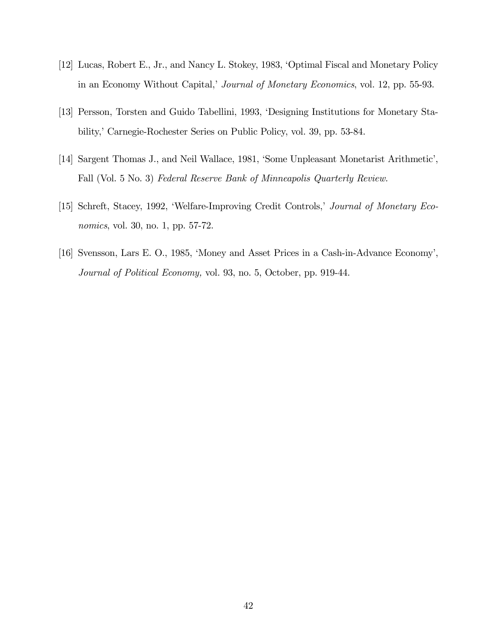- [12] Lucas, Robert E., Jr., and Nancy L. Stokey, 1983, 'Optimal Fiscal and Monetary Policy in an Economy Without Capital,' Journal of Monetary Economics, vol. 12, pp. 55-93.
- [13] Persson, Torsten and Guido Tabellini, 1993, 'Designing Institutions for Monetary Stability,' Carnegie-Rochester Series on Public Policy, vol. 39, pp. 53-84.
- [14] Sargent Thomas J., and Neil Wallace, 1981, 'Some Unpleasant Monetarist Arithmetic', Fall (Vol. 5 No. 3) Federal Reserve Bank of Minneapolis Quarterly Review.
- [15] Schreft, Stacey, 1992, 'Welfare-Improving Credit Controls,' Journal of Monetary Economics, vol. 30, no. 1, pp. 57-72.
- [16] Svensson, Lars E. O., 1985, 'Money and Asset Prices in a Cash-in-Advance Economy', Journal of Political Economy, vol. 93, no. 5, October, pp. 919-44.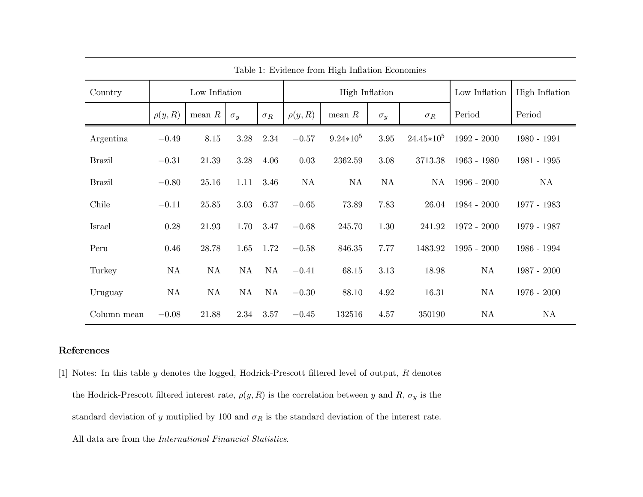| Table 1: Evidence from High Inflation Economies |               |          |            |                |             |             |            |               |                |               |
|-------------------------------------------------|---------------|----------|------------|----------------|-------------|-------------|------------|---------------|----------------|---------------|
| Country                                         | Low Inflation |          |            | High Inflation |             |             |            | Low Inflation | High Inflation |               |
|                                                 | $\rho(y,R)$   | mean $R$ | $\sigma_y$ | $\sigma_R$     | $\rho(y,R)$ | mean $R$    | $\sigma_y$ | $\sigma_R$    | Period         | Period        |
| Argentina                                       | $-0.49$       | 8.15     | 3.28       | 2.34           | $-0.57$     | $9.24*10^5$ | 3.95       | $24.45*10^5$  | $1992 - 2000$  | 1980 - 1991   |
| <b>Brazil</b>                                   | $-0.31$       | 21.39    | 3.28       | 4.06           | 0.03        | 2362.59     | $3.08\,$   | 3713.38       | $1963 - 1980$  | 1981 - 1995   |
| <b>Brazil</b>                                   | $-0.80$       | 25.16    | 1.11       | 3.46           | NA          | NA          | NA         | NA            | $1996 - 2000$  | NA            |
| Chile                                           | $-0.11$       | 25.85    | 3.03       | 6.37           | $-0.65$     | 73.89       | 7.83       | 26.04         | $1984 - 2000$  | 1977 - 1983   |
| Israel                                          | 0.28          | 21.93    | 1.70       | 3.47           | $-0.68$     | 245.70      | 1.30       | 241.92        | $1972 - 2000$  | 1979 - 1987   |
| Peru                                            | 0.46          | 28.78    | 1.65       | 1.72           | $-0.58$     | 846.35      | 7.77       | 1483.92       | $1995 - 2000$  | 1986 - 1994   |
| Turkey                                          | NA            | NA       | NA         | NA             | $-0.41$     | 68.15       | 3.13       | 18.98         | NA             | $1987 - 2000$ |
| Uruguay                                         | NA            | NA       | NA         | NA             | $-0.30$     | 88.10       | 4.92       | 16.31         | NA             | $1976 - 2000$ |
| Column mean                                     | $-0.08$       | 21.88    | 2.34       | 3.57           | $-0.45$     | 132516      | 4.57       | 350190        | NA             | NA            |

#### References

[1] Notes: In this table y denotes the logged, Hodrick-Prescott filtered level of output, R denotes the Hodrick-Prescott filtered interest rate,  $\rho(y, R)$  is the correlation between y and R,  $\sigma_y$  is the standard deviation of y mutiplied by 100 and  $\sigma_R$  is the standard deviation of the interest rate.

All data are from the *International Financial Statistics*.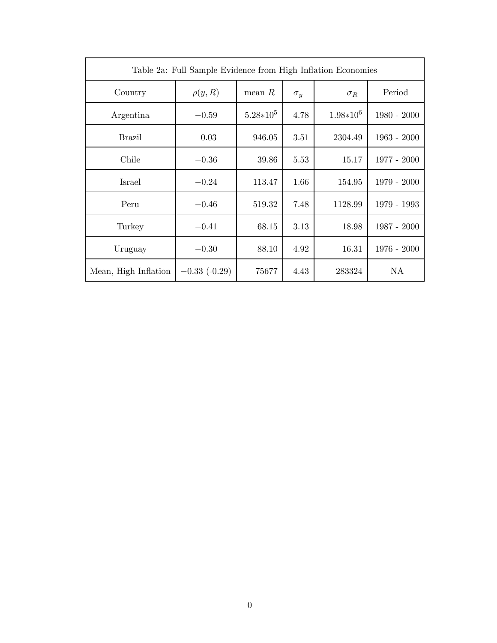| Table 2a: Full Sample Evidence from High Inflation Economies |                 |             |            |               |               |
|--------------------------------------------------------------|-----------------|-------------|------------|---------------|---------------|
| Country                                                      | $\rho(y,R)$     | mean $R$    | $\sigma_y$ | $\sigma_R$    | Period        |
| Argentina                                                    | $-0.59$         | $5.28*10^5$ | 4.78       | $1.98*10^{6}$ | $1980 - 2000$ |
| <b>Brazil</b>                                                | 0.03            | 946.05      | 3.51       | 2304.49       | $1963 - 2000$ |
| Chile                                                        | $-0.36$         | 39.86       | 5.53       | 15.17         | $1977 - 2000$ |
| Israel                                                       | $-0.24$         | 113.47      | 1.66       | 154.95        | $1979 - 2000$ |
| Peru                                                         | $-0.46$         | 519.32      | 7.48       | 1128.99       | 1979 - 1993   |
| Turkey                                                       | $-0.41$         | 68.15       | 3.13       | 18.98         | $1987 - 2000$ |
| Uruguay                                                      | $-0.30$         | 88.10       | 4.92       | 16.31         | $1976 - 2000$ |
| Mean, High Inflation                                         | $-0.33$ (-0.29) | 75677       | 4.43       | 283324        | NA            |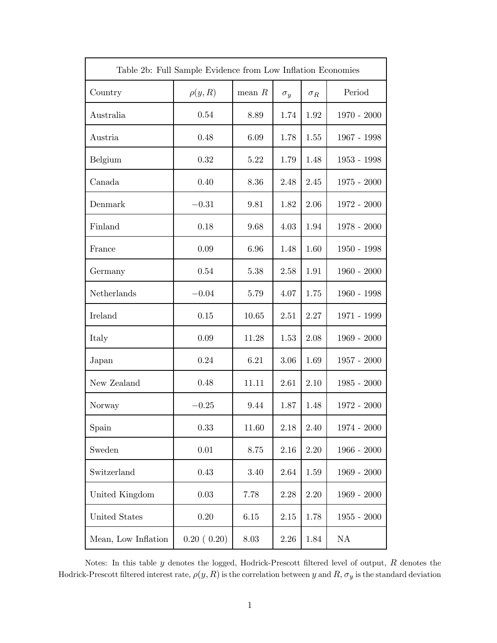| Table 2b: Full Sample Evidence from Low Inflation Economies |             |          |            |            |               |  |
|-------------------------------------------------------------|-------------|----------|------------|------------|---------------|--|
| Country                                                     | $\rho(y,R)$ | mean $R$ | $\sigma_y$ | $\sigma_R$ | Period        |  |
| Australia                                                   | 0.54        | 8.89     | 1.74       | 1.92       | $1970 - 2000$ |  |
| Austria                                                     | 0.48        | 6.09     | 1.78       | 1.55       | 1967 - 1998   |  |
| Belgium                                                     | 0.32        | 5.22     | 1.79       | 1.48       | 1953 - 1998   |  |
| Canada                                                      | 0.40        | 8.36     | 2.48       | 2.45       | $1975 - 2000$ |  |
| Denmark                                                     | $-0.31$     | 9.81     | 1.82       | 2.06       | 1972 - 2000   |  |
| Finland                                                     | 0.18        | 9.68     | 4.03       | 1.94       | $1978 - 2000$ |  |
| France                                                      | 0.09        | 6.96     | 1.48       | 1.60       | 1950 - 1998   |  |
| Germany                                                     | 0.54        | 5.38     | 2.58       | 1.91       | $1960 - 2000$ |  |
| Netherlands                                                 | $-0.04$     | 5.79     | 4.07       | 1.75       | 1960 - 1998   |  |
| Ireland                                                     | 0.15        | 10.65    | 2.51       | 2.27       | 1971 - 1999   |  |
| Italy                                                       | 0.09        | 11.28    | 1.53       | 2.08       | $1969 - 2000$ |  |
| Japan                                                       | 0.24        | 6.21     | 3.06       | 1.69       | $1957 - 2000$ |  |
| New Zealand                                                 | 0.48        | 11.11    | 2.61       | 2.10       | $1985 - 2000$ |  |
| Norway                                                      | $-0.25$     | 9.44     | 1.87       | 1.48       | 1972 - 2000   |  |
| Spain                                                       | 0.33        | 11.60    | 2.18       | 2.40       | $1974 - 2000$ |  |
| Sweden                                                      | $0.01\,$    | 8.75     | $2.16\,$   | 2.20       | $1966 - 2000$ |  |
| Switzerland                                                 | 0.43        | 3.40     | 2.64       | 1.59       | $1969 - 2000$ |  |
| United Kingdom                                              | 0.03        | 7.78     | 2.28       | $2.20\,$   | $1969 - 2000$ |  |
| United States                                               | 0.20        | 6.15     | 2.15       | 1.78       | $1955 - 2000$ |  |
| Mean, Low Inflation                                         | 0.20(0.20)  | 8.03     | 2.26       | 1.84       | NA            |  |

Notes: In this table  $y$  denotes the logged, Hodrick-Prescott filtered level of output,  $R$  denotes the Hodrick-Prescott filtered interest rate,  $\rho(y,R)$  is the correlation between y and  $R$ ,  $\sigma_y$  is the standard deviation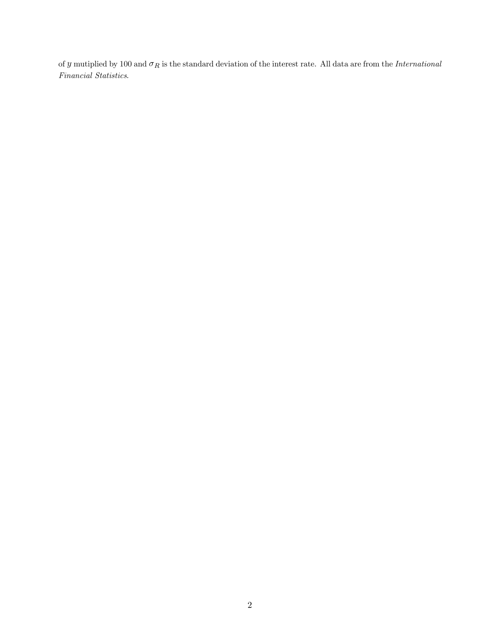of y mutiplied by 100 and  $\sigma_R$  is the standard deviation of the interest rate. All data are from the *International* Financial Statistics.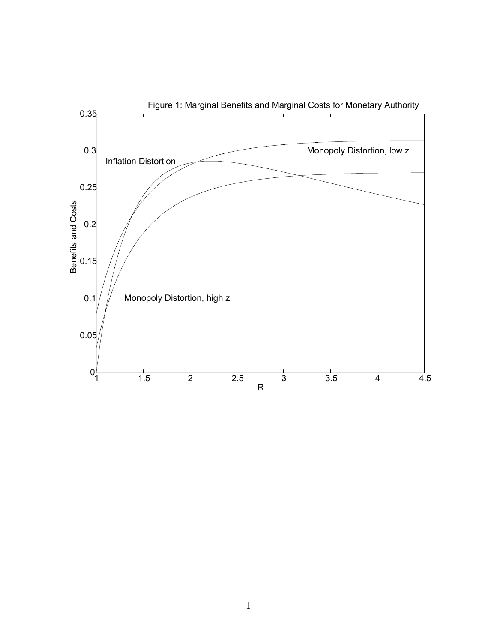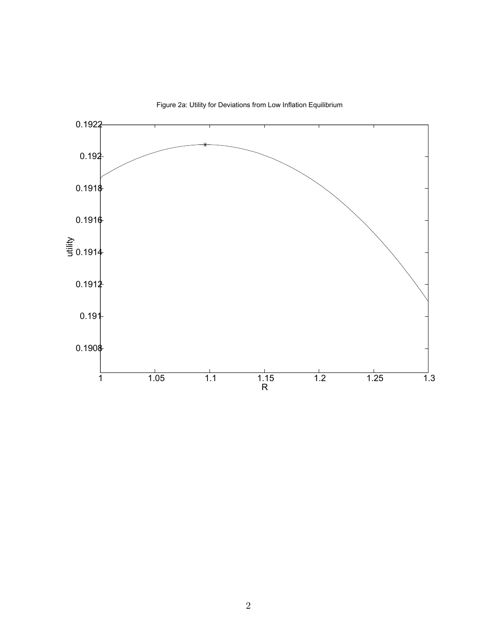

Figure 2a: Utility for Deviations from Low Inflation Equilibrium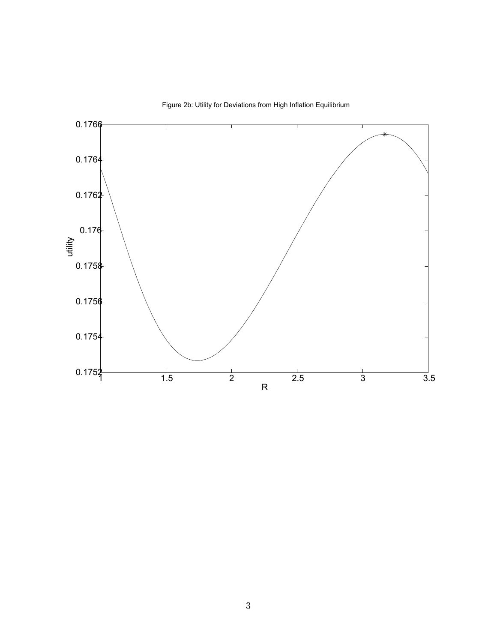

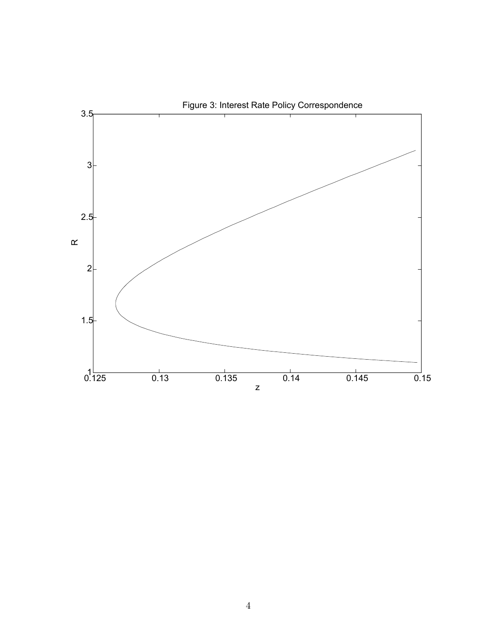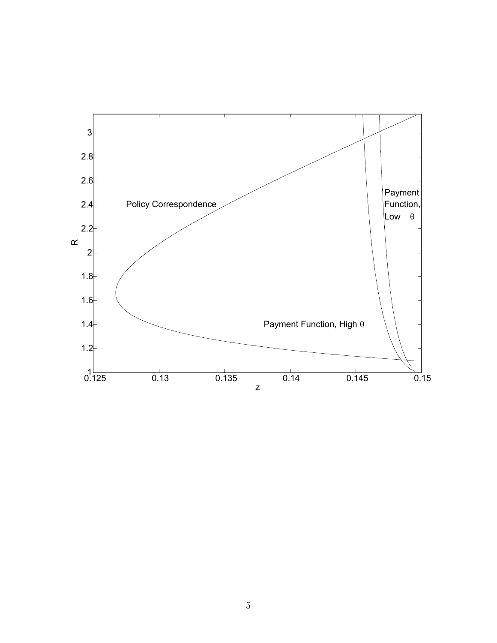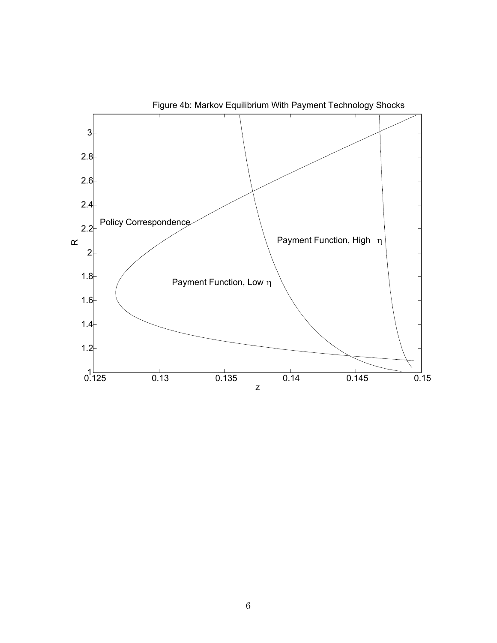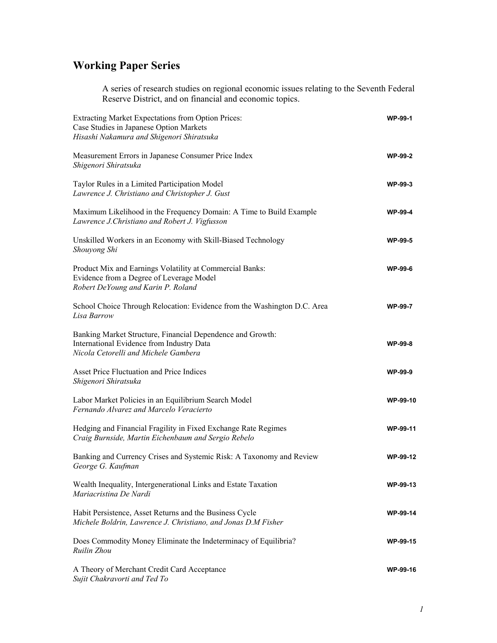# **Working Paper Series**

A series of research studies on regional economic issues relating to the Seventh Federal Reserve District, and on financial and economic topics.

| Extracting Market Expectations from Option Prices:<br>Case Studies in Japanese Option Markets<br>Hisashi Nakamura and Shigenori Shiratsuka      | <b>WP-99-1</b>  |
|-------------------------------------------------------------------------------------------------------------------------------------------------|-----------------|
| Measurement Errors in Japanese Consumer Price Index<br>Shigenori Shiratsuka                                                                     | WP-99-2         |
| Taylor Rules in a Limited Participation Model<br>Lawrence J. Christiano and Christopher J. Gust                                                 | <b>WP-99-3</b>  |
| Maximum Likelihood in the Frequency Domain: A Time to Build Example<br>Lawrence J.Christiano and Robert J. Vigfusson                            | <b>WP-99-4</b>  |
| Unskilled Workers in an Economy with Skill-Biased Technology<br>Shouyong Shi                                                                    | WP-99-5         |
| Product Mix and Earnings Volatility at Commercial Banks:<br>Evidence from a Degree of Leverage Model<br>Robert DeYoung and Karin P. Roland      | <b>WP-99-6</b>  |
| School Choice Through Relocation: Evidence from the Washington D.C. Area<br>Lisa Barrow                                                         | <b>WP-99-7</b>  |
| Banking Market Structure, Financial Dependence and Growth:<br>International Evidence from Industry Data<br>Nicola Cetorelli and Michele Gambera | WP-99-8         |
| Asset Price Fluctuation and Price Indices<br>Shigenori Shiratsuka                                                                               | WP-99-9         |
| Labor Market Policies in an Equilibrium Search Model<br>Fernando Alvarez and Marcelo Veracierto                                                 | WP-99-10        |
| Hedging and Financial Fragility in Fixed Exchange Rate Regimes<br>Craig Burnside, Martin Eichenbaum and Sergio Rebelo                           | WP-99-11        |
| Banking and Currency Crises and Systemic Risk: A Taxonomy and Review<br>George G. Kaufman                                                       | WP-99-12        |
| Wealth Inequality, Intergenerational Links and Estate Taxation<br>Mariacristina De Nardi                                                        | WP-99-13        |
| Habit Persistence, Asset Returns and the Business Cycle<br>Michele Boldrin, Lawrence J. Christiano, and Jonas D.M Fisher                        | <b>WP-99-14</b> |
| Does Commodity Money Eliminate the Indeterminacy of Equilibria?<br>Ruilin Zhou                                                                  | WP-99-15        |
| A Theory of Merchant Credit Card Acceptance<br>Sujit Chakravorti and Ted To                                                                     | WP-99-16        |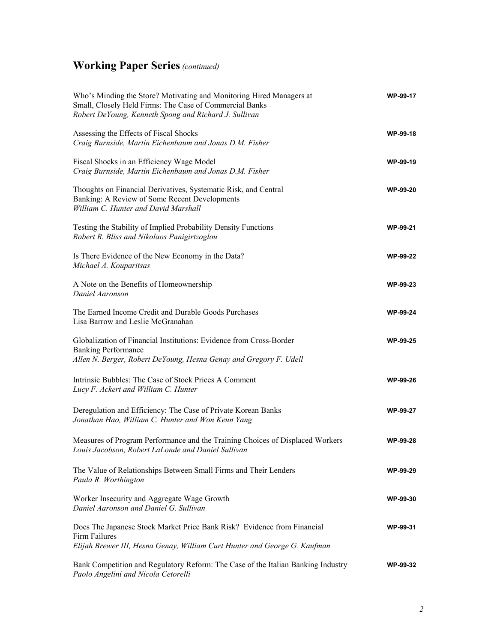| Who's Minding the Store? Motivating and Monitoring Hired Managers at<br>Small, Closely Held Firms: The Case of Commercial Banks<br>Robert DeYoung, Kenneth Spong and Richard J. Sullivan | WP-99-17        |
|------------------------------------------------------------------------------------------------------------------------------------------------------------------------------------------|-----------------|
| Assessing the Effects of Fiscal Shocks<br>Craig Burnside, Martin Eichenbaum and Jonas D.M. Fisher                                                                                        | WP-99-18        |
| Fiscal Shocks in an Efficiency Wage Model<br>Craig Burnside, Martin Eichenbaum and Jonas D.M. Fisher                                                                                     | WP-99-19        |
| Thoughts on Financial Derivatives, Systematic Risk, and Central<br>Banking: A Review of Some Recent Developments<br>William C. Hunter and David Marshall                                 | WP-99-20        |
| Testing the Stability of Implied Probability Density Functions<br>Robert R. Bliss and Nikolaos Panigirtzoglou                                                                            | WP-99-21        |
| Is There Evidence of the New Economy in the Data?<br>Michael A. Kouparitsas                                                                                                              | <b>WP-99-22</b> |
| A Note on the Benefits of Homeownership<br>Daniel Aaronson                                                                                                                               | WP-99-23        |
| The Earned Income Credit and Durable Goods Purchases<br>Lisa Barrow and Leslie McGranahan                                                                                                | <b>WP-99-24</b> |
| Globalization of Financial Institutions: Evidence from Cross-Border<br><b>Banking Performance</b><br>Allen N. Berger, Robert DeYoung, Hesna Genay and Gregory F. Udell                   | <b>WP-99-25</b> |
| Intrinsic Bubbles: The Case of Stock Prices A Comment<br>Lucy F. Ackert and William C. Hunter                                                                                            | WP-99-26        |
| Deregulation and Efficiency: The Case of Private Korean Banks<br>Jonathan Hao, William C. Hunter and Won Keun Yang                                                                       | <b>WP-99-27</b> |
| Measures of Program Performance and the Training Choices of Displaced Workers<br>Louis Jacobson, Robert LaLonde and Daniel Sullivan                                                      | WP-99-28        |
| The Value of Relationships Between Small Firms and Their Lenders<br>Paula R. Worthington                                                                                                 | <b>WP-99-29</b> |
| Worker Insecurity and Aggregate Wage Growth<br>Daniel Aaronson and Daniel G. Sullivan                                                                                                    | WP-99-30        |
| Does The Japanese Stock Market Price Bank Risk? Evidence from Financial<br>Firm Failures<br>Elijah Brewer III, Hesna Genay, William Curt Hunter and George G. Kaufman                    | WP-99-31        |
| Bank Competition and Regulatory Reform: The Case of the Italian Banking Industry<br>Paolo Angelini and Nicola Cetorelli                                                                  | WP-99-32        |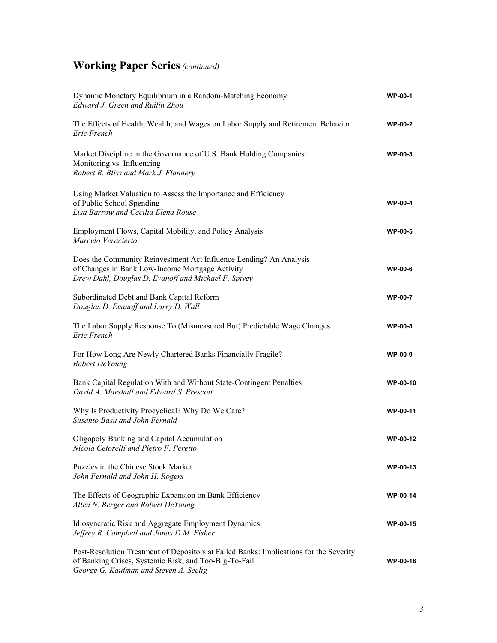| Dynamic Monetary Equilibrium in a Random-Matching Economy<br>Edward J. Green and Ruilin Zhou                                                                                              | <b>WP-00-1</b>  |
|-------------------------------------------------------------------------------------------------------------------------------------------------------------------------------------------|-----------------|
| The Effects of Health, Wealth, and Wages on Labor Supply and Retirement Behavior<br>Eric French                                                                                           | <b>WP-00-2</b>  |
| Market Discipline in the Governance of U.S. Bank Holding Companies:<br>Monitoring vs. Influencing<br>Robert R. Bliss and Mark J. Flannery                                                 | <b>WP-00-3</b>  |
| Using Market Valuation to Assess the Importance and Efficiency<br>of Public School Spending<br>Lisa Barrow and Cecilia Elena Rouse                                                        | <b>WP-00-4</b>  |
| Employment Flows, Capital Mobility, and Policy Analysis<br>Marcelo Veracierto                                                                                                             | <b>WP-00-5</b>  |
| Does the Community Reinvestment Act Influence Lending? An Analysis<br>of Changes in Bank Low-Income Mortgage Activity<br>Drew Dahl, Douglas D. Evanoff and Michael F. Spivey              | WP-00-6         |
| Subordinated Debt and Bank Capital Reform<br>Douglas D. Evanoff and Larry D. Wall                                                                                                         | <b>WP-00-7</b>  |
| The Labor Supply Response To (Mismeasured But) Predictable Wage Changes<br>Eric French                                                                                                    | <b>WP-00-8</b>  |
| For How Long Are Newly Chartered Banks Financially Fragile?<br>Robert DeYoung                                                                                                             | <b>WP-00-9</b>  |
| Bank Capital Regulation With and Without State-Contingent Penalties<br>David A. Marshall and Edward S. Prescott                                                                           | <b>WP-00-10</b> |
| Why Is Productivity Procyclical? Why Do We Care?<br>Susanto Basu and John Fernald                                                                                                         | <b>WP-00-11</b> |
| Oligopoly Banking and Capital Accumulation<br>Nicola Cetorelli and Pietro F. Peretto                                                                                                      | WP-00-12        |
| Puzzles in the Chinese Stock Market<br>John Fernald and John H. Rogers                                                                                                                    | WP-00-13        |
| The Effects of Geographic Expansion on Bank Efficiency<br>Allen N. Berger and Robert DeYoung                                                                                              | <b>WP-00-14</b> |
| Idiosyncratic Risk and Aggregate Employment Dynamics<br>Jeffrey R. Campbell and Jonas D.M. Fisher                                                                                         | WP-00-15        |
| Post-Resolution Treatment of Depositors at Failed Banks: Implications for the Severity<br>of Banking Crises, Systemic Risk, and Too-Big-To-Fail<br>George G. Kaufman and Steven A. Seelig | WP-00-16        |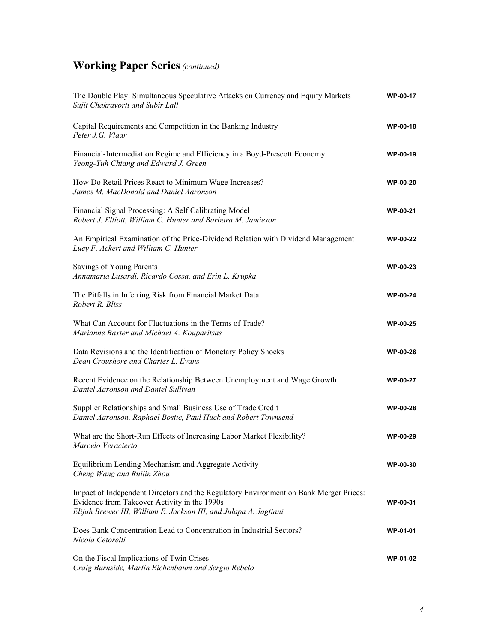| The Double Play: Simultaneous Speculative Attacks on Currency and Equity Markets<br>Sujit Chakravorti and Subir Lall                                                                                       | WP-00-17        |
|------------------------------------------------------------------------------------------------------------------------------------------------------------------------------------------------------------|-----------------|
| Capital Requirements and Competition in the Banking Industry<br>Peter J.G. Vlaar                                                                                                                           | WP-00-18        |
| Financial-Intermediation Regime and Efficiency in a Boyd-Prescott Economy<br>Yeong-Yuh Chiang and Edward J. Green                                                                                          | WP-00-19        |
| How Do Retail Prices React to Minimum Wage Increases?<br>James M. MacDonald and Daniel Aaronson                                                                                                            | <b>WP-00-20</b> |
| Financial Signal Processing: A Self Calibrating Model<br>Robert J. Elliott, William C. Hunter and Barbara M. Jamieson                                                                                      | WP-00-21        |
| An Empirical Examination of the Price-Dividend Relation with Dividend Management<br>Lucy F. Ackert and William C. Hunter                                                                                   | <b>WP-00-22</b> |
| Savings of Young Parents<br>Annamaria Lusardi, Ricardo Cossa, and Erin L. Krupka                                                                                                                           | WP-00-23        |
| The Pitfalls in Inferring Risk from Financial Market Data<br>Robert R. Bliss                                                                                                                               | <b>WP-00-24</b> |
| What Can Account for Fluctuations in the Terms of Trade?<br>Marianne Baxter and Michael A. Kouparitsas                                                                                                     | WP-00-25        |
| Data Revisions and the Identification of Monetary Policy Shocks<br>Dean Croushore and Charles L. Evans                                                                                                     | <b>WP-00-26</b> |
| Recent Evidence on the Relationship Between Unemployment and Wage Growth<br>Daniel Aaronson and Daniel Sullivan                                                                                            | <b>WP-00-27</b> |
| Supplier Relationships and Small Business Use of Trade Credit<br>Daniel Aaronson, Raphael Bostic, Paul Huck and Robert Townsend                                                                            | <b>WP-00-28</b> |
| What are the Short-Run Effects of Increasing Labor Market Flexibility?<br>Marcelo Veracierto                                                                                                               | WP-00-29        |
| Equilibrium Lending Mechanism and Aggregate Activity<br>Cheng Wang and Ruilin Zhou                                                                                                                         | WP-00-30        |
| Impact of Independent Directors and the Regulatory Environment on Bank Merger Prices:<br>Evidence from Takeover Activity in the 1990s<br>Elijah Brewer III, William E. Jackson III, and Julapa A. Jagtiani | WP-00-31        |
| Does Bank Concentration Lead to Concentration in Industrial Sectors?<br>Nicola Cetorelli                                                                                                                   | WP-01-01        |
| On the Fiscal Implications of Twin Crises<br>Craig Burnside, Martin Eichenbaum and Sergio Rebelo                                                                                                           | WP-01-02        |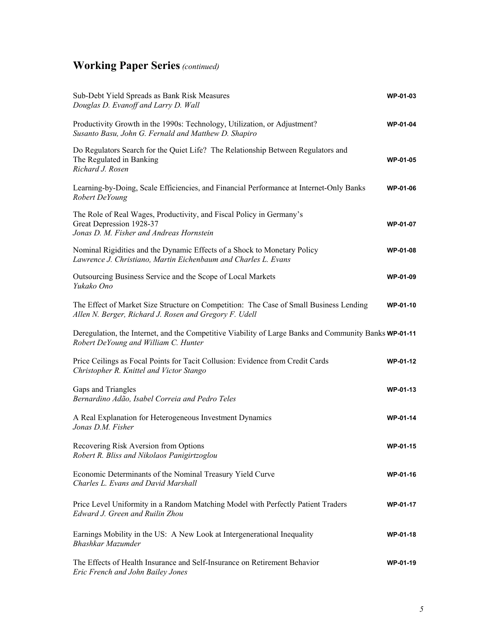| Sub-Debt Yield Spreads as Bank Risk Measures<br>Douglas D. Evanoff and Larry D. Wall                                                             | WP-01-03        |
|--------------------------------------------------------------------------------------------------------------------------------------------------|-----------------|
| Productivity Growth in the 1990s: Technology, Utilization, or Adjustment?<br>Susanto Basu, John G. Fernald and Matthew D. Shapiro                | <b>WP-01-04</b> |
| Do Regulators Search for the Quiet Life? The Relationship Between Regulators and<br>The Regulated in Banking<br>Richard J. Rosen                 | WP-01-05        |
| Learning-by-Doing, Scale Efficiencies, and Financial Performance at Internet-Only Banks<br>Robert DeYoung                                        | <b>WP-01-06</b> |
| The Role of Real Wages, Productivity, and Fiscal Policy in Germany's<br>Great Depression 1928-37<br>Jonas D. M. Fisher and Andreas Hornstein     | WP-01-07        |
| Nominal Rigidities and the Dynamic Effects of a Shock to Monetary Policy<br>Lawrence J. Christiano, Martin Eichenbaum and Charles L. Evans       | WP-01-08        |
| Outsourcing Business Service and the Scope of Local Markets<br>Yukako Ono                                                                        | WP-01-09        |
| The Effect of Market Size Structure on Competition: The Case of Small Business Lending<br>Allen N. Berger, Richard J. Rosen and Gregory F. Udell | WP-01-10        |
| Deregulation, the Internet, and the Competitive Viability of Large Banks and Community Banks WP-01-11<br>Robert DeYoung and William C. Hunter    |                 |
| Price Ceilings as Focal Points for Tacit Collusion: Evidence from Credit Cards<br>Christopher R. Knittel and Victor Stango                       | WP-01-12        |
| Gaps and Triangles<br>Bernardino Adão, Isabel Correia and Pedro Teles                                                                            | WP-01-13        |
| A Real Explanation for Heterogeneous Investment Dynamics<br>Jonas D.M. Fisher                                                                    | WP-01-14        |
| Recovering Risk Aversion from Options<br>Robert R. Bliss and Nikolaos Panigirtzoglou                                                             | WP-01-15        |
| Economic Determinants of the Nominal Treasury Yield Curve<br>Charles L. Evans and David Marshall                                                 | WP-01-16        |
| Price Level Uniformity in a Random Matching Model with Perfectly Patient Traders<br>Edward J. Green and Ruilin Zhou                              | WP-01-17        |
| Earnings Mobility in the US: A New Look at Intergenerational Inequality<br><b>Bhashkar Mazumder</b>                                              | WP-01-18        |
| The Effects of Health Insurance and Self-Insurance on Retirement Behavior<br>Eric French and John Bailey Jones                                   | WP-01-19        |